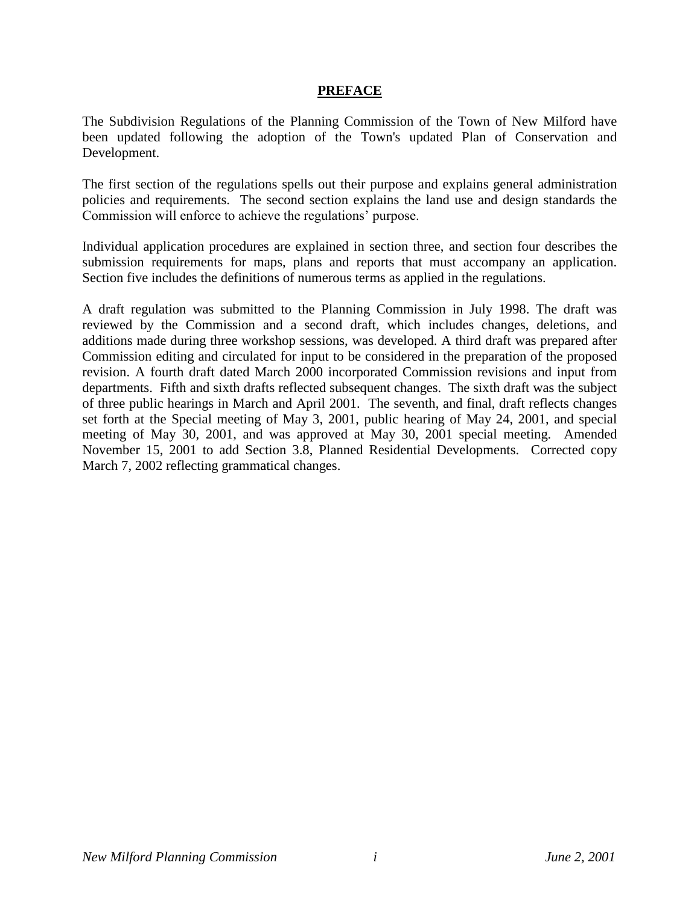#### **PREFACE**

The Subdivision Regulations of the Planning Commission of the Town of New Milford have been updated following the adoption of the Town's updated Plan of Conservation and Development.

The first section of the regulations spells out their purpose and explains general administration policies and requirements. The second section explains the land use and design standards the Commission will enforce to achieve the regulations' purpose.

Individual application procedures are explained in section three, and section four describes the submission requirements for maps, plans and reports that must accompany an application. Section five includes the definitions of numerous terms as applied in the regulations.

A draft regulation was submitted to the Planning Commission in July 1998. The draft was reviewed by the Commission and a second draft, which includes changes, deletions, and additions made during three workshop sessions, was developed. A third draft was prepared after Commission editing and circulated for input to be considered in the preparation of the proposed revision. A fourth draft dated March 2000 incorporated Commission revisions and input from departments. Fifth and sixth drafts reflected subsequent changes. The sixth draft was the subject of three public hearings in March and April 2001. The seventh, and final, draft reflects changes set forth at the Special meeting of May 3, 2001, public hearing of May 24, 2001, and special meeting of May 30, 2001, and was approved at May 30, 2001 special meeting. Amended November 15, 2001 to add Section 3.8, Planned Residential Developments. Corrected copy March 7, 2002 reflecting grammatical changes.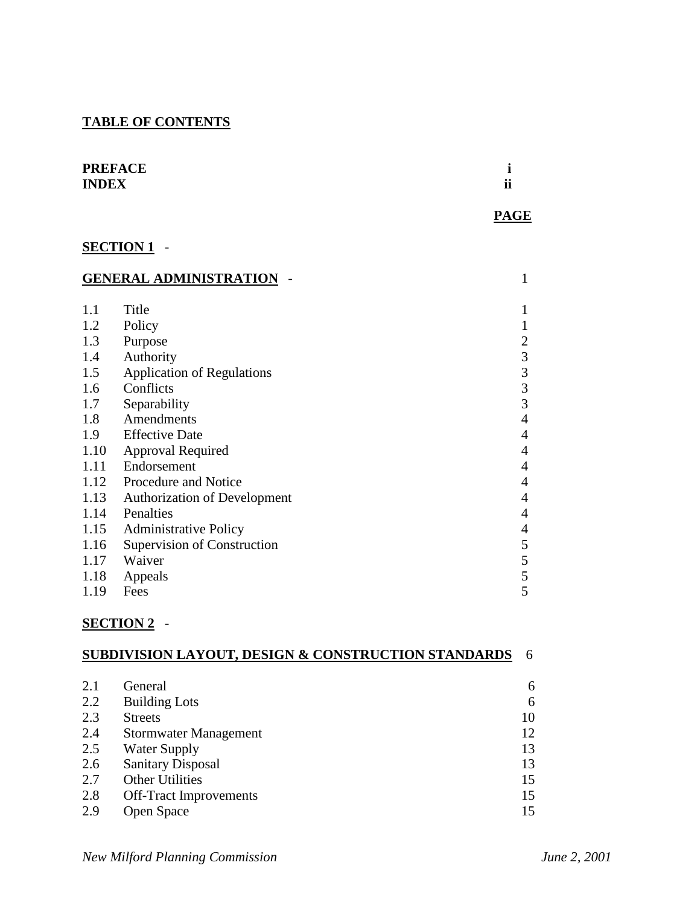# **TABLE OF CONTENTS**

| <b>PREFACE</b> |                        |
|----------------|------------------------|
| <b>INDEX</b>   | $\bullet\bullet$<br>11 |

# **SECTION 1** -

| <b>GENERAL ADMINISTRATION</b> |                                     | 1              |
|-------------------------------|-------------------------------------|----------------|
| 1.1                           | Title                               | 1              |
| 1.2                           | Policy                              |                |
|                               |                                     |                |
| 1.3                           | Purpose                             | 2              |
| 1.4                           | Authority                           | 3              |
| 1.5                           | <b>Application of Regulations</b>   | 3              |
| 1.6                           | Conflicts                           | 3              |
| 1.7                           | Separability                        | 3              |
| 1.8                           | Amendments                          | $\overline{4}$ |
| 1.9                           | <b>Effective Date</b>               | 4              |
| 1.10                          | <b>Approval Required</b>            | $\overline{4}$ |
| 1.11                          | Endorsement                         | 4              |
| 1.12                          | Procedure and Notice                | $\overline{4}$ |
| 1.13                          | <b>Authorization of Development</b> | 4              |
| 1.14                          | Penalties                           | $\overline{4}$ |
| 1.15                          | <b>Administrative Policy</b>        | 4              |
| 1.16                          | Supervision of Construction         | 5              |
| 1.17                          | Waiver                              | 5              |
| 1.18                          | Appeals                             | 5              |
| 1.19                          | Fees                                | 5              |

# **SECTION 2** -

|     | <b>SUBDIVISION LAYOUT, DESIGN &amp; CONSTRUCTION STANDARDS</b> | 6  |
|-----|----------------------------------------------------------------|----|
|     |                                                                |    |
| 2.1 | General                                                        | 6  |
| 2.2 | <b>Building Lots</b>                                           | 6  |
| 2.3 | <b>Streets</b>                                                 | 10 |
| 2.4 | <b>Stormwater Management</b>                                   | 12 |
| 2.5 | <b>Water Supply</b>                                            | 13 |
| 2.6 | <b>Sanitary Disposal</b>                                       | 13 |
| 2.7 | <b>Other Utilities</b>                                         | 15 |
| 2.8 | <b>Off-Tract Improvements</b>                                  | 15 |
| 2.9 | Open Space                                                     | 15 |

 **PAGE**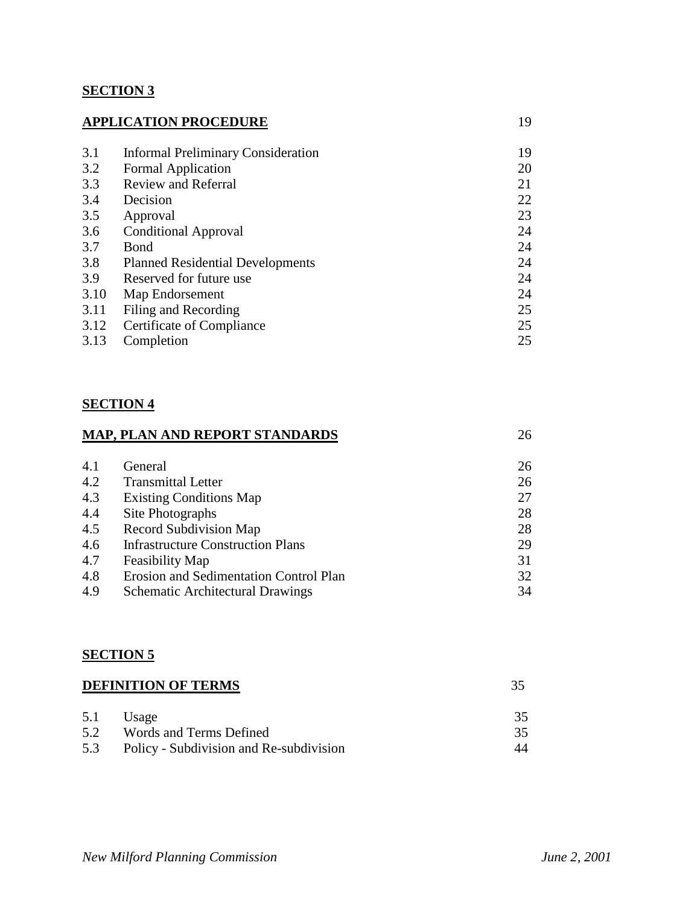### **SECTION 3**

| <b>APPLICATION PROCEDURE</b> |                                           | 19 |
|------------------------------|-------------------------------------------|----|
| 3.1                          | <b>Informal Preliminary Consideration</b> | 19 |
| 3.2                          | <b>Formal Application</b>                 | 20 |
| 3.3                          | <b>Review and Referral</b>                | 21 |
| 3.4                          | Decision                                  | 22 |
| 3.5                          | Approval                                  | 23 |
| 3.6                          | <b>Conditional Approval</b>               | 24 |
| 3.7                          | <b>B</b> ond                              | 24 |
| 3.8                          | <b>Planned Residential Developments</b>   | 24 |
| 3.9                          | Reserved for future use.                  | 24 |
| 3.10                         | Map Endorsement                           | 24 |
| 3.11                         | Filing and Recording                      | 25 |
| 3.12                         | Certificate of Compliance                 | 25 |
| 3.13                         | Completion                                | 25 |

### **SECTION 4**

# **MAP, PLAN AND REPORT STANDARDS** 26 4.1 General 26 4.2 Transmittal Letter 26 4.3 Existing Conditions Map 27 4.4 Site Photographs 28<br>4.5 Record Subdivision Man 28 Record Subdivision Map 28

|     | $1.5$ record bubary is four $1.14\mu$   | <u>_</u> |
|-----|-----------------------------------------|----------|
| 4.6 | Infrastructure Construction Plans       | 29       |
|     | 4.7 Feasibility Map                     | -31      |
| 4.8 | Erosion and Sedimentation Control Plan  | 32       |
| 4.9 | <b>Schematic Architectural Drawings</b> | 34       |

#### **SECTION 5**

| <b>DEFINITION OF TERMS</b> |                                         | 35  |
|----------------------------|-----------------------------------------|-----|
| 5.1                        | Usage                                   | 35. |
| 5.2                        | Words and Terms Defined                 | 35. |
| 5.3                        | Policy - Subdivision and Re-subdivision | 44  |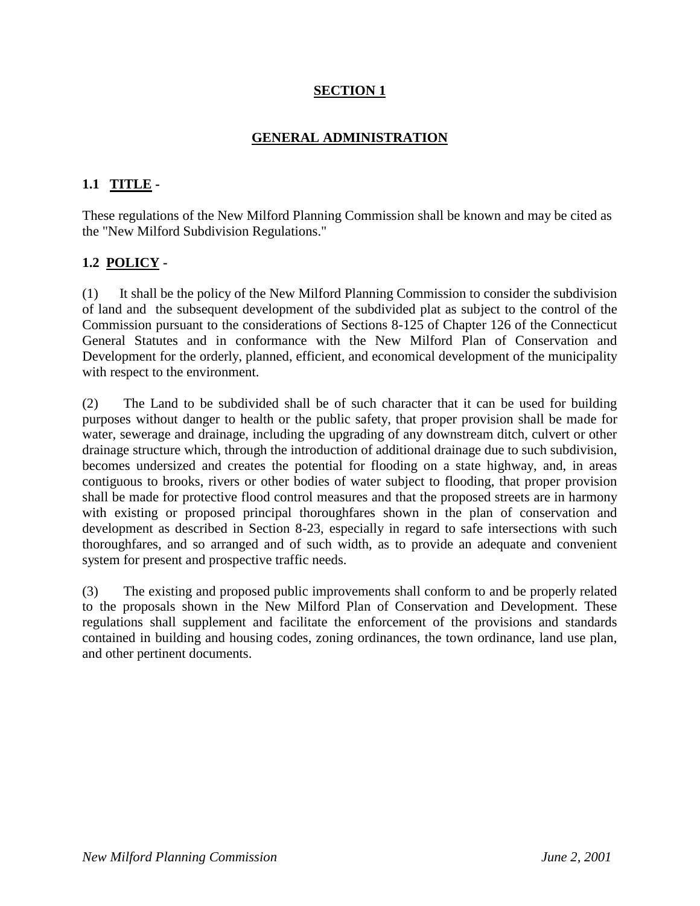# **SECTION 1**

### **GENERAL ADMINISTRATION**

### **1.1 TITLE -**

These regulations of the New Milford Planning Commission shall be known and may be cited as the "New Milford Subdivision Regulations."

### **1.2 POLICY -**

(1) It shall be the policy of the New Milford Planning Commission to consider the subdivision of land and the subsequent development of the subdivided plat as subject to the control of the Commission pursuant to the considerations of Sections 8-125 of Chapter 126 of the Connecticut General Statutes and in conformance with the New Milford Plan of Conservation and Development for the orderly, planned, efficient, and economical development of the municipality with respect to the environment.

(2) The Land to be subdivided shall be of such character that it can be used for building purposes without danger to health or the public safety, that proper provision shall be made for water, sewerage and drainage, including the upgrading of any downstream ditch, culvert or other drainage structure which, through the introduction of additional drainage due to such subdivision, becomes undersized and creates the potential for flooding on a state highway, and, in areas contiguous to brooks, rivers or other bodies of water subject to flooding, that proper provision shall be made for protective flood control measures and that the proposed streets are in harmony with existing or proposed principal thoroughfares shown in the plan of conservation and development as described in Section 8-23, especially in regard to safe intersections with such thoroughfares, and so arranged and of such width, as to provide an adequate and convenient system for present and prospective traffic needs.

(3) The existing and proposed public improvements shall conform to and be properly related to the proposals shown in the New Milford Plan of Conservation and Development. These regulations shall supplement and facilitate the enforcement of the provisions and standards contained in building and housing codes, zoning ordinances, the town ordinance, land use plan, and other pertinent documents.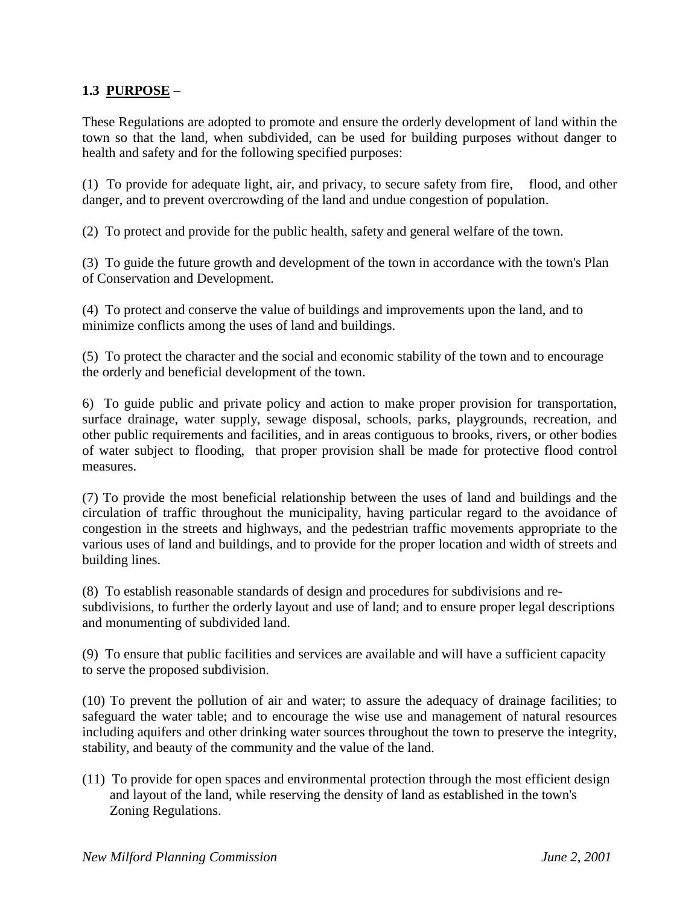### **1.3 PURPOSE** –

These Regulations are adopted to promote and ensure the orderly development of land within the town so that the land, when subdivided, can be used for building purposes without danger to health and safety and for the following specified purposes:

(1) To provide for adequate light, air, and privacy, to secure safety from fire, flood, and other danger, and to prevent overcrowding of the land and undue congestion of population.

(2) To protect and provide for the public health, safety and general welfare of the town.

(3) To guide the future growth and development of the town in accordance with the town's Plan of Conservation and Development.

(4) To protect and conserve the value of buildings and improvements upon the land, and to minimize conflicts among the uses of land and buildings.

(5) To protect the character and the social and economic stability of the town and to encourage the orderly and beneficial development of the town.

6) To guide public and private policy and action to make proper provision for transportation, surface drainage, water supply, sewage disposal, schools, parks, playgrounds, recreation, and other public requirements and facilities, and in areas contiguous to brooks, rivers, or other bodies of water subject to flooding, that proper provision shall be made for protective flood control measures.

(7) To provide the most beneficial relationship between the uses of land and buildings and the circulation of traffic throughout the municipality, having particular regard to the avoidance of congestion in the streets and highways, and the pedestrian traffic movements appropriate to the various uses of land and buildings, and to provide for the proper location and width of streets and building lines.

(8) To establish reasonable standards of design and procedures for subdivisions and resubdivisions, to further the orderly layout and use of land; and to ensure proper legal descriptions and monumenting of subdivided land.

(9) To ensure that public facilities and services are available and will have a sufficient capacity to serve the proposed subdivision.

(10) To prevent the pollution of air and water; to assure the adequacy of drainage facilities; to safeguard the water table; and to encourage the wise use and management of natural resources including aquifers and other drinking water sources throughout the town to preserve the integrity, stability, and beauty of the community and the value of the land.

(11) To provide for open spaces and environmental protection through the most efficient design and layout of the land, while reserving the density of land as established in the town's Zoning Regulations.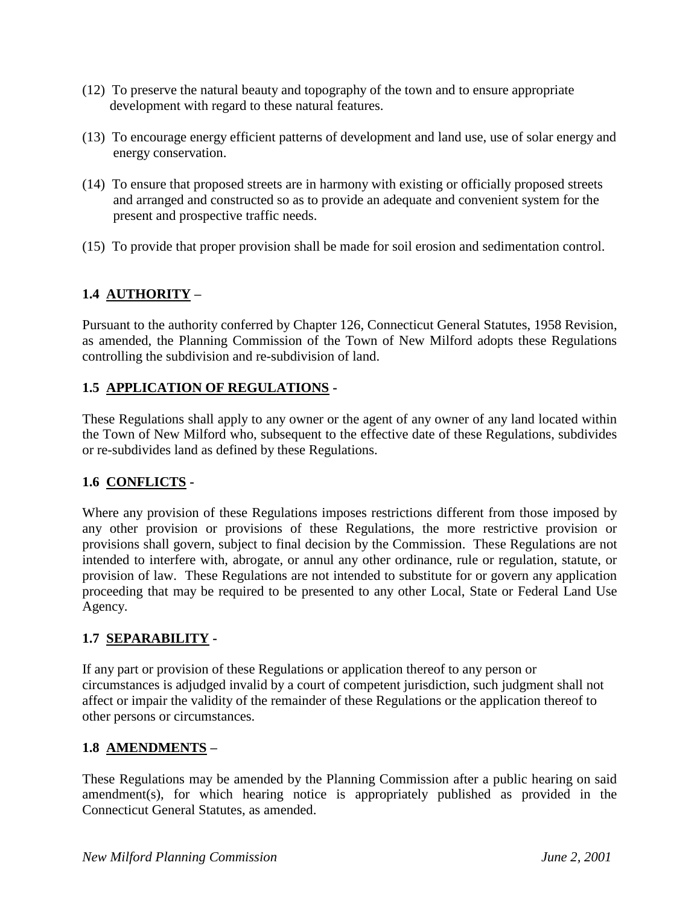- (12) To preserve the natural beauty and topography of the town and to ensure appropriate development with regard to these natural features.
- (13) To encourage energy efficient patterns of development and land use, use of solar energy and energy conservation.
- (14) To ensure that proposed streets are in harmony with existing or officially proposed streets and arranged and constructed so as to provide an adequate and convenient system for the present and prospective traffic needs.
- (15) To provide that proper provision shall be made for soil erosion and sedimentation control.

# **1.4 AUTHORITY –**

Pursuant to the authority conferred by Chapter 126, Connecticut General Statutes, 1958 Revision, as amended, the Planning Commission of the Town of New Milford adopts these Regulations controlling the subdivision and re-subdivision of land.

### **1.5 APPLICATION OF REGULATIONS -**

These Regulations shall apply to any owner or the agent of any owner of any land located within the Town of New Milford who, subsequent to the effective date of these Regulations, subdivides or re-subdivides land as defined by these Regulations.

### **1.6 CONFLICTS -**

Where any provision of these Regulations imposes restrictions different from those imposed by any other provision or provisions of these Regulations, the more restrictive provision or provisions shall govern, subject to final decision by the Commission. These Regulations are not intended to interfere with, abrogate, or annul any other ordinance, rule or regulation, statute, or provision of law. These Regulations are not intended to substitute for or govern any application proceeding that may be required to be presented to any other Local, State or Federal Land Use Agency.

### **1.7 SEPARABILITY -**

If any part or provision of these Regulations or application thereof to any person or circumstances is adjudged invalid by a court of competent jurisdiction, such judgment shall not affect or impair the validity of the remainder of these Regulations or the application thereof to other persons or circumstances.

#### **1.8 AMENDMENTS –**

These Regulations may be amended by the Planning Commission after a public hearing on said amendment(s), for which hearing notice is appropriately published as provided in the Connecticut General Statutes, as amended.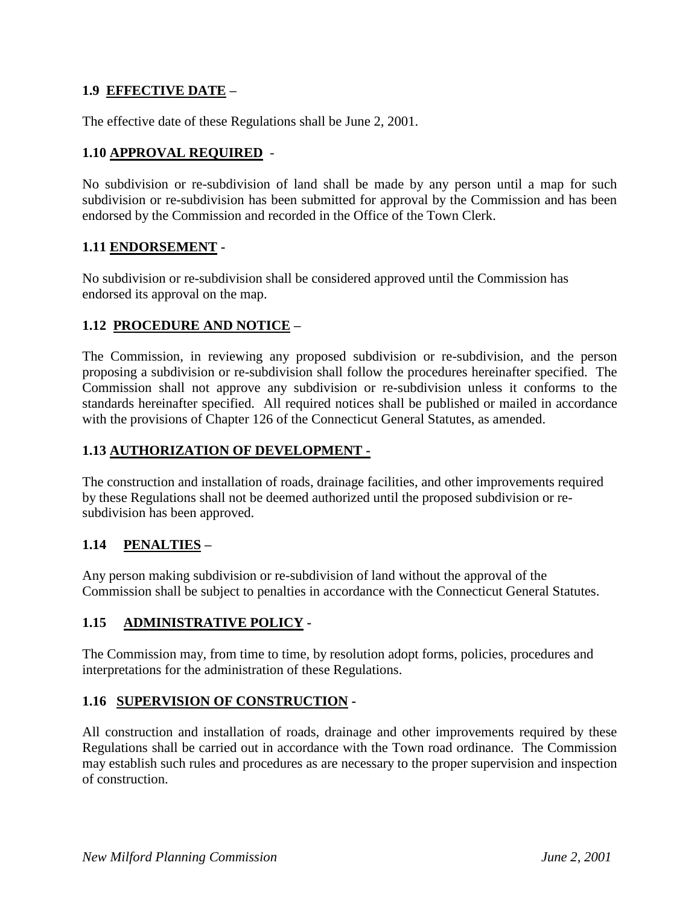### **1.9 EFFECTIVE DATE –**

The effective date of these Regulations shall be June 2, 2001.

### **1.10 APPROVAL REQUIRED** -

No subdivision or re-subdivision of land shall be made by any person until a map for such subdivision or re-subdivision has been submitted for approval by the Commission and has been endorsed by the Commission and recorded in the Office of the Town Clerk.

#### **1.11 ENDORSEMENT -**

No subdivision or re-subdivision shall be considered approved until the Commission has endorsed its approval on the map.

#### **1.12 PROCEDURE AND NOTICE –**

The Commission, in reviewing any proposed subdivision or re-subdivision, and the person proposing a subdivision or re-subdivision shall follow the procedures hereinafter specified. The Commission shall not approve any subdivision or re-subdivision unless it conforms to the standards hereinafter specified. All required notices shall be published or mailed in accordance with the provisions of Chapter 126 of the Connecticut General Statutes, as amended.

#### **1.13 AUTHORIZATION OF DEVELOPMENT -**

The construction and installation of roads, drainage facilities, and other improvements required by these Regulations shall not be deemed authorized until the proposed subdivision or resubdivision has been approved.

### **1.14 PENALTIES –**

Any person making subdivision or re-subdivision of land without the approval of the Commission shall be subject to penalties in accordance with the Connecticut General Statutes.

### **1.15 ADMINISTRATIVE POLICY -**

The Commission may, from time to time, by resolution adopt forms, policies, procedures and interpretations for the administration of these Regulations.

#### **1.16 SUPERVISION OF CONSTRUCTION -**

All construction and installation of roads, drainage and other improvements required by these Regulations shall be carried out in accordance with the Town road ordinance. The Commission may establish such rules and procedures as are necessary to the proper supervision and inspection of construction.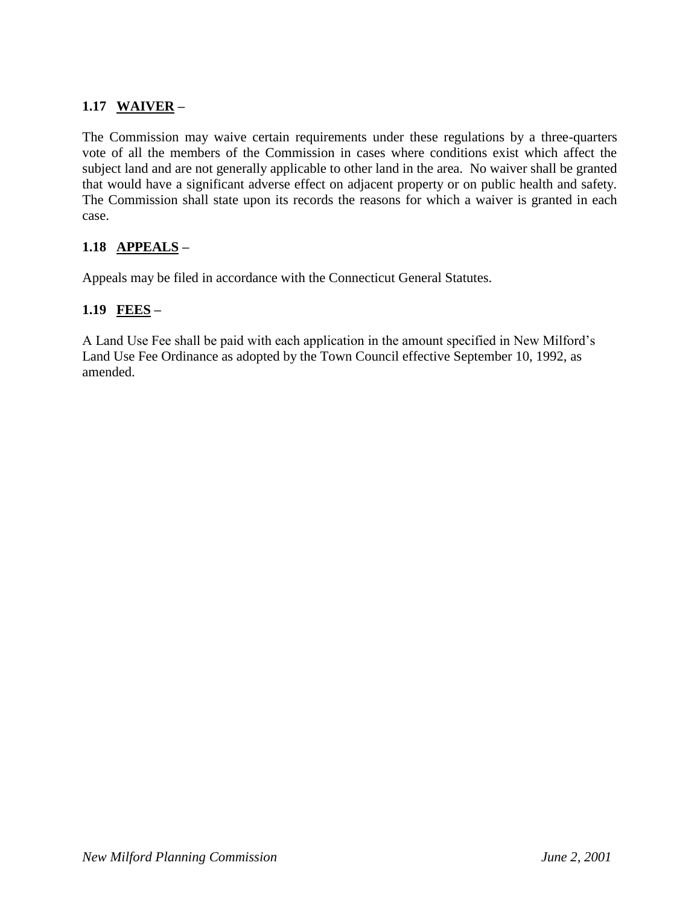# **1.17 WAIVER –**

The Commission may waive certain requirements under these regulations by a three-quarters vote of all the members of the Commission in cases where conditions exist which affect the subject land and are not generally applicable to other land in the area. No waiver shall be granted that would have a significant adverse effect on adjacent property or on public health and safety. The Commission shall state upon its records the reasons for which a waiver is granted in each case.

### **1.18 APPEALS –**

Appeals may be filed in accordance with the Connecticut General Statutes.

### **1.19 FEES –**

A Land Use Fee shall be paid with each application in the amount specified in New Milford's Land Use Fee Ordinance as adopted by the Town Council effective September 10, 1992, as amended.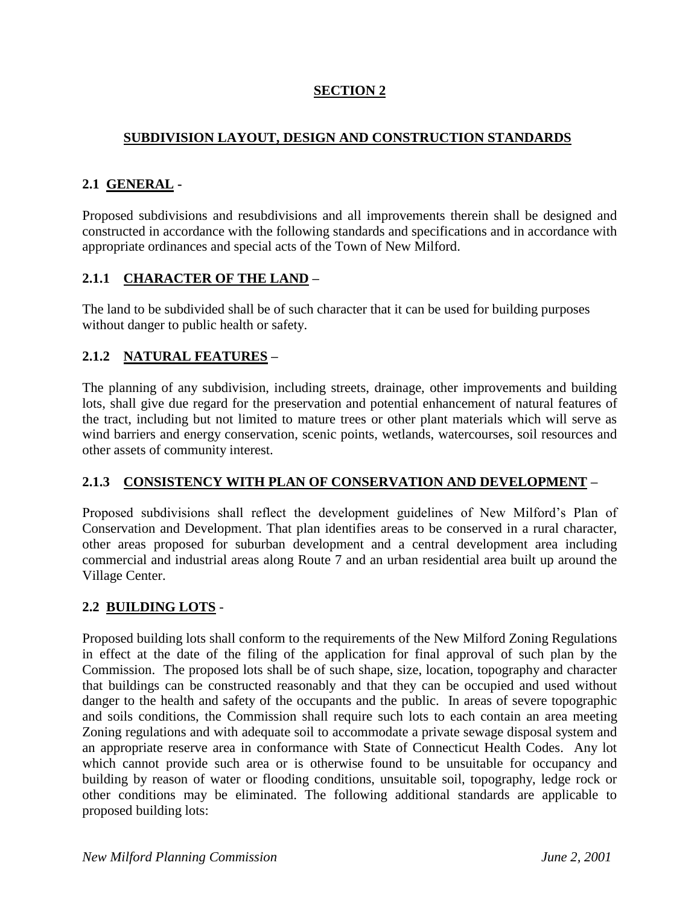# **SECTION 2**

# **SUBDIVISION LAYOUT, DESIGN AND CONSTRUCTION STANDARDS**

#### **2.1 GENERAL -**

Proposed subdivisions and resubdivisions and all improvements therein shall be designed and constructed in accordance with the following standards and specifications and in accordance with appropriate ordinances and special acts of the Town of New Milford.

#### **2.1.1 CHARACTER OF THE LAND –**

The land to be subdivided shall be of such character that it can be used for building purposes without danger to public health or safety.

### **2.1.2 NATURAL FEATURES –**

The planning of any subdivision, including streets, drainage, other improvements and building lots, shall give due regard for the preservation and potential enhancement of natural features of the tract, including but not limited to mature trees or other plant materials which will serve as wind barriers and energy conservation, scenic points, wetlands, watercourses, soil resources and other assets of community interest.

### **2.1.3 CONSISTENCY WITH PLAN OF CONSERVATION AND DEVELOPMENT –**

Proposed subdivisions shall reflect the development guidelines of New Milford's Plan of Conservation and Development. That plan identifies areas to be conserved in a rural character, other areas proposed for suburban development and a central development area including commercial and industrial areas along Route 7 and an urban residential area built up around the Village Center.

### **2.2 BUILDING LOTS** -

Proposed building lots shall conform to the requirements of the New Milford Zoning Regulations in effect at the date of the filing of the application for final approval of such plan by the Commission. The proposed lots shall be of such shape, size, location, topography and character that buildings can be constructed reasonably and that they can be occupied and used without danger to the health and safety of the occupants and the public. In areas of severe topographic and soils conditions, the Commission shall require such lots to each contain an area meeting Zoning regulations and with adequate soil to accommodate a private sewage disposal system and an appropriate reserve area in conformance with State of Connecticut Health Codes. Any lot which cannot provide such area or is otherwise found to be unsuitable for occupancy and building by reason of water or flooding conditions, unsuitable soil, topography, ledge rock or other conditions may be eliminated. The following additional standards are applicable to proposed building lots: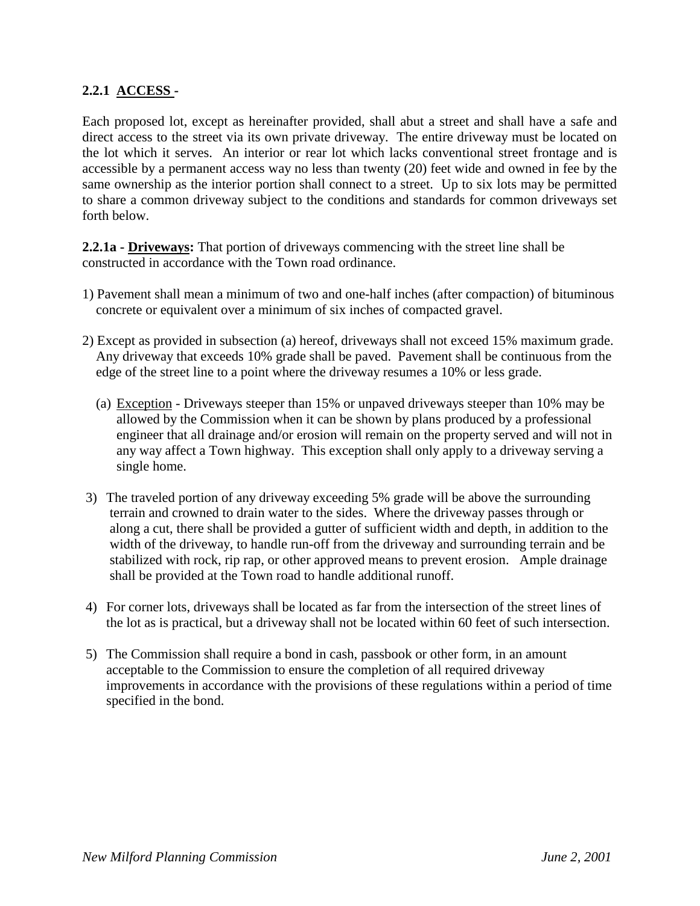#### **2.2.1 ACCESS -**

Each proposed lot, except as hereinafter provided, shall abut a street and shall have a safe and direct access to the street via its own private driveway. The entire driveway must be located on the lot which it serves. An interior or rear lot which lacks conventional street frontage and is accessible by a permanent access way no less than twenty (20) feet wide and owned in fee by the same ownership as the interior portion shall connect to a street. Up to six lots may be permitted to share a common driveway subject to the conditions and standards for common driveways set forth below.

**2.2.1a - Driveways:** That portion of driveways commencing with the street line shall be constructed in accordance with the Town road ordinance.

- 1) Pavement shall mean a minimum of two and one-half inches (after compaction) of bituminous concrete or equivalent over a minimum of six inches of compacted gravel.
- 2) Except as provided in subsection (a) hereof, driveways shall not exceed 15% maximum grade. Any driveway that exceeds 10% grade shall be paved. Pavement shall be continuous from the edge of the street line to a point where the driveway resumes a 10% or less grade.
	- (a) Exception Driveways steeper than 15% or unpaved driveways steeper than 10% may be allowed by the Commission when it can be shown by plans produced by a professional engineer that all drainage and/or erosion will remain on the property served and will not in any way affect a Town highway. This exception shall only apply to a driveway serving a single home.
- 3) The traveled portion of any driveway exceeding 5% grade will be above the surrounding terrain and crowned to drain water to the sides. Where the driveway passes through or along a cut, there shall be provided a gutter of sufficient width and depth, in addition to the width of the driveway, to handle run-off from the driveway and surrounding terrain and be stabilized with rock, rip rap, or other approved means to prevent erosion. Ample drainage shall be provided at the Town road to handle additional runoff.
- 4) For corner lots, driveways shall be located as far from the intersection of the street lines of the lot as is practical, but a driveway shall not be located within 60 feet of such intersection.
- 5) The Commission shall require a bond in cash, passbook or other form, in an amount acceptable to the Commission to ensure the completion of all required driveway improvements in accordance with the provisions of these regulations within a period of time specified in the bond.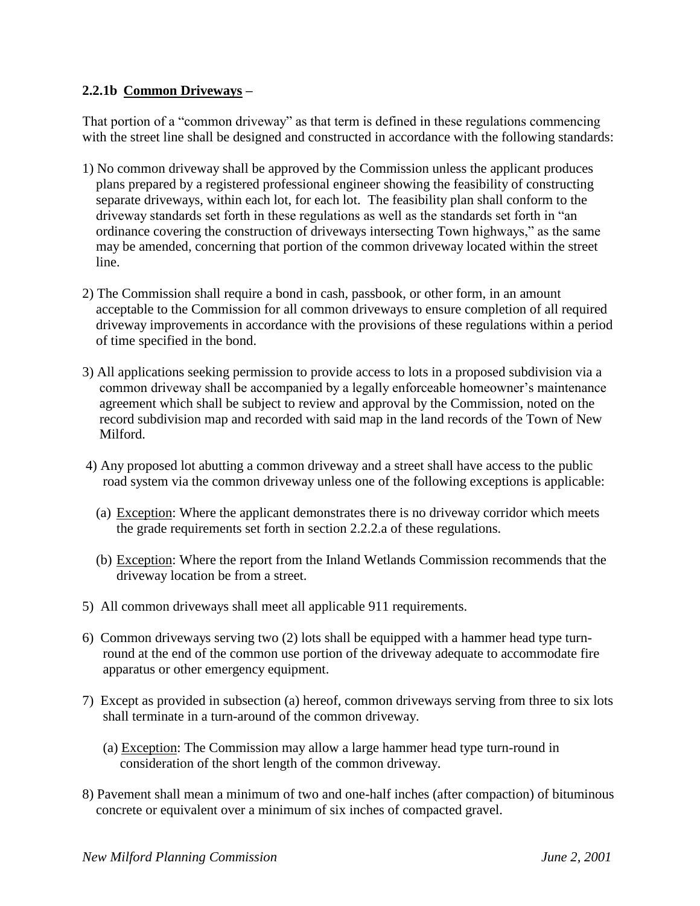### **2.2.1b Common Driveways –**

That portion of a "common driveway" as that term is defined in these regulations commencing with the street line shall be designed and constructed in accordance with the following standards:

- 1) No common driveway shall be approved by the Commission unless the applicant produces plans prepared by a registered professional engineer showing the feasibility of constructing separate driveways, within each lot, for each lot. The feasibility plan shall conform to the driveway standards set forth in these regulations as well as the standards set forth in "an ordinance covering the construction of driveways intersecting Town highways," as the same may be amended, concerning that portion of the common driveway located within the street line.
- 2) The Commission shall require a bond in cash, passbook, or other form, in an amount acceptable to the Commission for all common driveways to ensure completion of all required driveway improvements in accordance with the provisions of these regulations within a period of time specified in the bond.
- 3) All applications seeking permission to provide access to lots in a proposed subdivision via a common driveway shall be accompanied by a legally enforceable homeowner's maintenance agreement which shall be subject to review and approval by the Commission, noted on the record subdivision map and recorded with said map in the land records of the Town of New Milford.
- 4) Any proposed lot abutting a common driveway and a street shall have access to the public road system via the common driveway unless one of the following exceptions is applicable:
	- (a) Exception: Where the applicant demonstrates there is no driveway corridor which meets the grade requirements set forth in section 2.2.2.a of these regulations.
	- (b) Exception: Where the report from the Inland Wetlands Commission recommends that the driveway location be from a street.
- 5) All common driveways shall meet all applicable 911 requirements.
- 6) Common driveways serving two (2) lots shall be equipped with a hammer head type turn round at the end of the common use portion of the driveway adequate to accommodate fire apparatus or other emergency equipment.
- 7) Except as provided in subsection (a) hereof, common driveways serving from three to six lots shall terminate in a turn-around of the common driveway.
	- (a) Exception: The Commission may allow a large hammer head type turn-round in consideration of the short length of the common driveway.
- 8) Pavement shall mean a minimum of two and one-half inches (after compaction) of bituminous concrete or equivalent over a minimum of six inches of compacted gravel.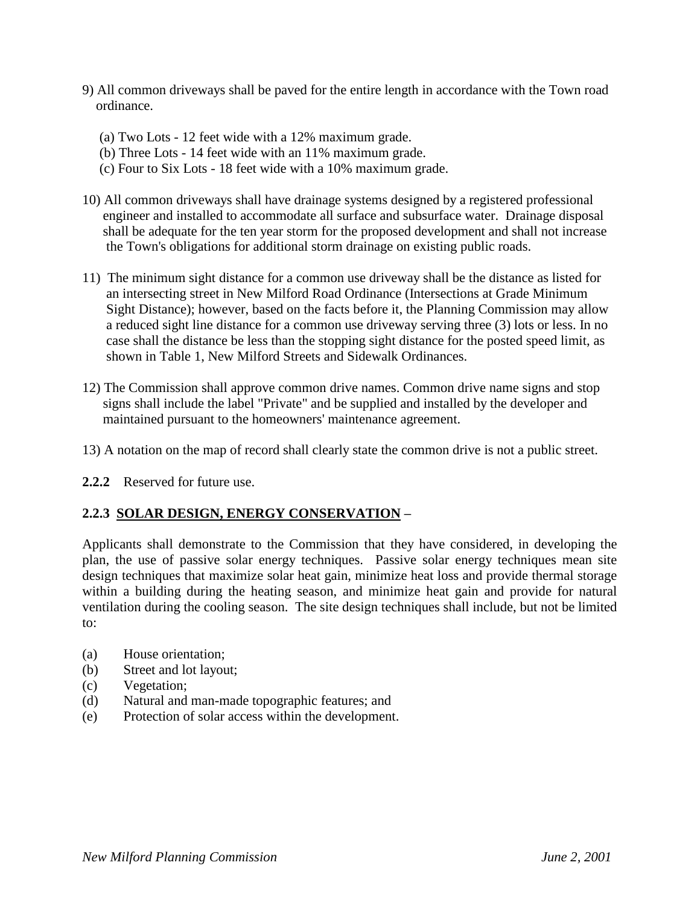- 9) All common driveways shall be paved for the entire length in accordance with the Town road ordinance.
	- (a) Two Lots 12 feet wide with a 12% maximum grade.
	- (b) Three Lots 14 feet wide with an 11% maximum grade.
	- (c) Four to Six Lots 18 feet wide with a 10% maximum grade.
- 10) All common driveways shall have drainage systems designed by a registered professional engineer and installed to accommodate all surface and subsurface water. Drainage disposal shall be adequate for the ten year storm for the proposed development and shall not increase the Town's obligations for additional storm drainage on existing public roads.
- 11) The minimum sight distance for a common use driveway shall be the distance as listed for an intersecting street in New Milford Road Ordinance (Intersections at Grade Minimum Sight Distance); however, based on the facts before it, the Planning Commission may allow a reduced sight line distance for a common use driveway serving three (3) lots or less. In no case shall the distance be less than the stopping sight distance for the posted speed limit, as shown in Table 1, New Milford Streets and Sidewalk Ordinances.
- 12) The Commission shall approve common drive names. Common drive name signs and stop signs shall include the label "Private" and be supplied and installed by the developer and maintained pursuant to the homeowners' maintenance agreement.
- 13) A notation on the map of record shall clearly state the common drive is not a public street.
- **2.2.2** Reserved for future use.

### **2.2.3 SOLAR DESIGN, ENERGY CONSERVATION –**

Applicants shall demonstrate to the Commission that they have considered, in developing the plan, the use of passive solar energy techniques. Passive solar energy techniques mean site design techniques that maximize solar heat gain, minimize heat loss and provide thermal storage within a building during the heating season, and minimize heat gain and provide for natural ventilation during the cooling season. The site design techniques shall include, but not be limited to:

- (a) House orientation;
- (b) Street and lot layout;
- (c) Vegetation;
- (d) Natural and man-made topographic features; and
- (e) Protection of solar access within the development.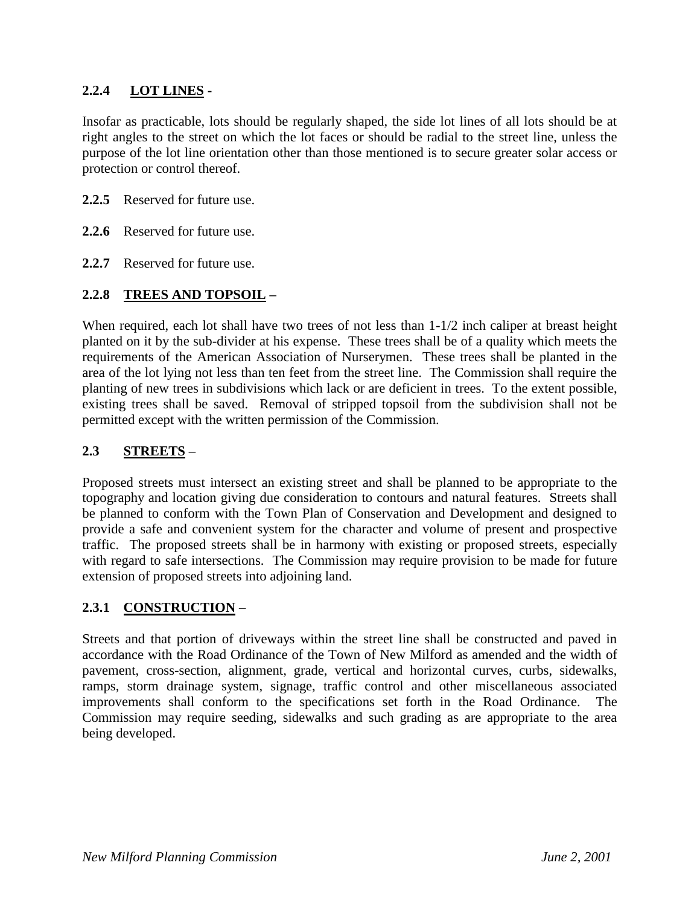### **2.2.4 LOT LINES -**

Insofar as practicable, lots should be regularly shaped, the side lot lines of all lots should be at right angles to the street on which the lot faces or should be radial to the street line, unless the purpose of the lot line orientation other than those mentioned is to secure greater solar access or protection or control thereof.

- **2.2.5** Reserved for future use.
- **2.2.6** Reserved for future use.
- **2.2.7** Reserved for future use.

# **2.2.8 TREES AND TOPSOIL –**

When required, each lot shall have two trees of not less than  $1-1/2$  inch caliper at breast height planted on it by the sub-divider at his expense. These trees shall be of a quality which meets the requirements of the American Association of Nurserymen. These trees shall be planted in the area of the lot lying not less than ten feet from the street line. The Commission shall require the planting of new trees in subdivisions which lack or are deficient in trees. To the extent possible, existing trees shall be saved. Removal of stripped topsoil from the subdivision shall not be permitted except with the written permission of the Commission.

### **2.3 STREETS –**

Proposed streets must intersect an existing street and shall be planned to be appropriate to the topography and location giving due consideration to contours and natural features. Streets shall be planned to conform with the Town Plan of Conservation and Development and designed to provide a safe and convenient system for the character and volume of present and prospective traffic. The proposed streets shall be in harmony with existing or proposed streets, especially with regard to safe intersections. The Commission may require provision to be made for future extension of proposed streets into adjoining land.

### **2.3.1 CONSTRUCTION** –

Streets and that portion of driveways within the street line shall be constructed and paved in accordance with the Road Ordinance of the Town of New Milford as amended and the width of pavement, cross-section, alignment, grade, vertical and horizontal curves, curbs, sidewalks, ramps, storm drainage system, signage, traffic control and other miscellaneous associated improvements shall conform to the specifications set forth in the Road Ordinance. The Commission may require seeding, sidewalks and such grading as are appropriate to the area being developed.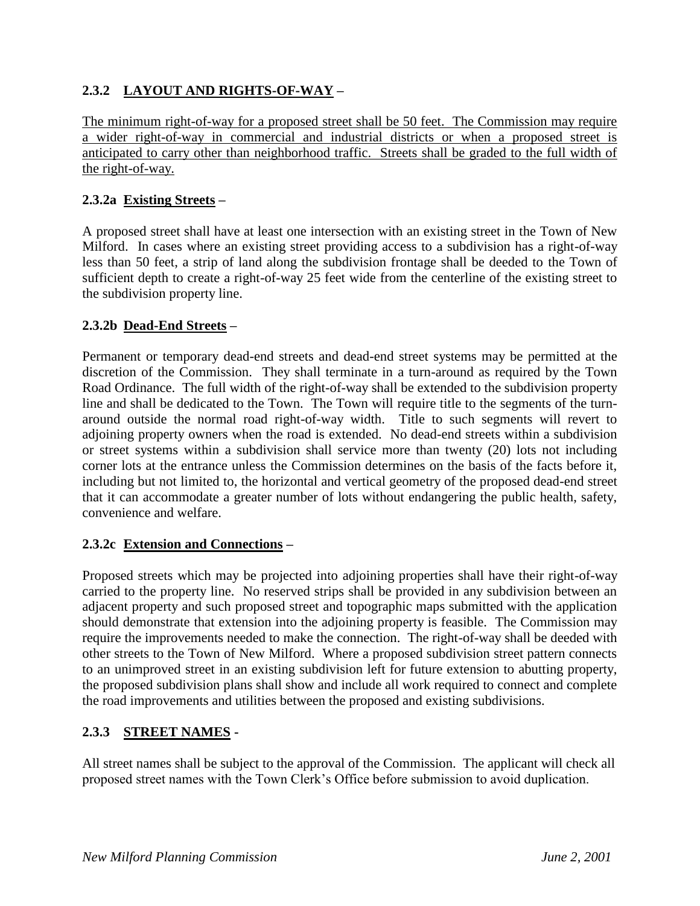# **2.3.2 LAYOUT AND RIGHTS-OF-WAY –**

The minimum right-of-way for a proposed street shall be 50 feet. The Commission may require a wider right-of-way in commercial and industrial districts or when a proposed street is anticipated to carry other than neighborhood traffic. Streets shall be graded to the full width of the right-of-way.

### **2.3.2a Existing Streets –**

A proposed street shall have at least one intersection with an existing street in the Town of New Milford. In cases where an existing street providing access to a subdivision has a right-of-way less than 50 feet, a strip of land along the subdivision frontage shall be deeded to the Town of sufficient depth to create a right-of-way 25 feet wide from the centerline of the existing street to the subdivision property line.

### **2.3.2b Dead-End Streets –**

Permanent or temporary dead-end streets and dead-end street systems may be permitted at the discretion of the Commission. They shall terminate in a turn-around as required by the Town Road Ordinance. The full width of the right-of-way shall be extended to the subdivision property line and shall be dedicated to the Town. The Town will require title to the segments of the turnaround outside the normal road right-of-way width. Title to such segments will revert to adjoining property owners when the road is extended. No dead-end streets within a subdivision or street systems within a subdivision shall service more than twenty (20) lots not including corner lots at the entrance unless the Commission determines on the basis of the facts before it, including but not limited to, the horizontal and vertical geometry of the proposed dead-end street that it can accommodate a greater number of lots without endangering the public health, safety, convenience and welfare.

### **2.3.2c Extension and Connections –**

Proposed streets which may be projected into adjoining properties shall have their right-of-way carried to the property line. No reserved strips shall be provided in any subdivision between an adjacent property and such proposed street and topographic maps submitted with the application should demonstrate that extension into the adjoining property is feasible. The Commission may require the improvements needed to make the connection. The right-of-way shall be deeded with other streets to the Town of New Milford. Where a proposed subdivision street pattern connects to an unimproved street in an existing subdivision left for future extension to abutting property, the proposed subdivision plans shall show and include all work required to connect and complete the road improvements and utilities between the proposed and existing subdivisions.

### **2.3.3 STREET NAMES -**

All street names shall be subject to the approval of the Commission. The applicant will check all proposed street names with the Town Clerk's Office before submission to avoid duplication.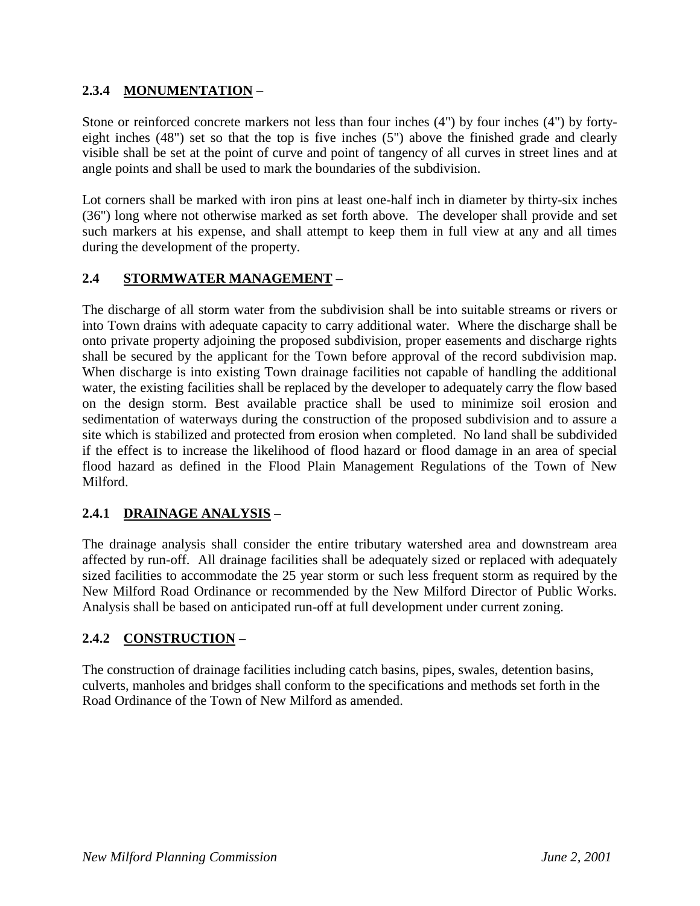# **2.3.4 MONUMENTATION** –

Stone or reinforced concrete markers not less than four inches (4") by four inches (4") by fortyeight inches (48") set so that the top is five inches (5") above the finished grade and clearly visible shall be set at the point of curve and point of tangency of all curves in street lines and at angle points and shall be used to mark the boundaries of the subdivision.

Lot corners shall be marked with iron pins at least one-half inch in diameter by thirty-six inches (36") long where not otherwise marked as set forth above. The developer shall provide and set such markers at his expense, and shall attempt to keep them in full view at any and all times during the development of the property.

# **2.4 STORMWATER MANAGEMENT –**

The discharge of all storm water from the subdivision shall be into suitable streams or rivers or into Town drains with adequate capacity to carry additional water. Where the discharge shall be onto private property adjoining the proposed subdivision, proper easements and discharge rights shall be secured by the applicant for the Town before approval of the record subdivision map. When discharge is into existing Town drainage facilities not capable of handling the additional water, the existing facilities shall be replaced by the developer to adequately carry the flow based on the design storm. Best available practice shall be used to minimize soil erosion and sedimentation of waterways during the construction of the proposed subdivision and to assure a site which is stabilized and protected from erosion when completed. No land shall be subdivided if the effect is to increase the likelihood of flood hazard or flood damage in an area of special flood hazard as defined in the Flood Plain Management Regulations of the Town of New Milford.

# **2.4.1 DRAINAGE ANALYSIS –**

The drainage analysis shall consider the entire tributary watershed area and downstream area affected by run-off. All drainage facilities shall be adequately sized or replaced with adequately sized facilities to accommodate the 25 year storm or such less frequent storm as required by the New Milford Road Ordinance or recommended by the New Milford Director of Public Works. Analysis shall be based on anticipated run-off at full development under current zoning.

### **2.4.2 CONSTRUCTION –**

The construction of drainage facilities including catch basins, pipes, swales, detention basins, culverts, manholes and bridges shall conform to the specifications and methods set forth in the Road Ordinance of the Town of New Milford as amended.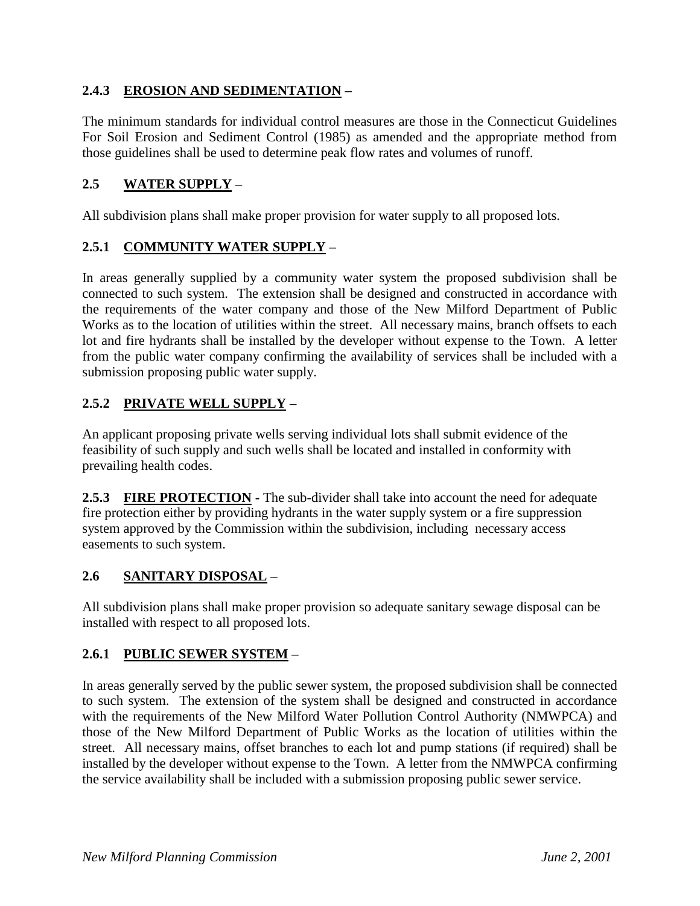# **2.4.3 EROSION AND SEDIMENTATION –**

The minimum standards for individual control measures are those in the Connecticut Guidelines For Soil Erosion and Sediment Control (1985) as amended and the appropriate method from those guidelines shall be used to determine peak flow rates and volumes of runoff.

### **2.5 WATER SUPPLY –**

All subdivision plans shall make proper provision for water supply to all proposed lots.

### **2.5.1 COMMUNITY WATER SUPPLY –**

In areas generally supplied by a community water system the proposed subdivision shall be connected to such system. The extension shall be designed and constructed in accordance with the requirements of the water company and those of the New Milford Department of Public Works as to the location of utilities within the street. All necessary mains, branch offsets to each lot and fire hydrants shall be installed by the developer without expense to the Town. A letter from the public water company confirming the availability of services shall be included with a submission proposing public water supply.

# **2.5.2 PRIVATE WELL SUPPLY –**

An applicant proposing private wells serving individual lots shall submit evidence of the feasibility of such supply and such wells shall be located and installed in conformity with prevailing health codes.

**2.5.3 FIRE PROTECTION -** The sub-divider shall take into account the need for adequate fire protection either by providing hydrants in the water supply system or a fire suppression system approved by the Commission within the subdivision, including necessary access easements to such system.

### **2.6 SANITARY DISPOSAL –**

All subdivision plans shall make proper provision so adequate sanitary sewage disposal can be installed with respect to all proposed lots.

### **2.6.1 PUBLIC SEWER SYSTEM –**

In areas generally served by the public sewer system, the proposed subdivision shall be connected to such system. The extension of the system shall be designed and constructed in accordance with the requirements of the New Milford Water Pollution Control Authority (NMWPCA) and those of the New Milford Department of Public Works as the location of utilities within the street. All necessary mains, offset branches to each lot and pump stations (if required) shall be installed by the developer without expense to the Town. A letter from the NMWPCA confirming the service availability shall be included with a submission proposing public sewer service.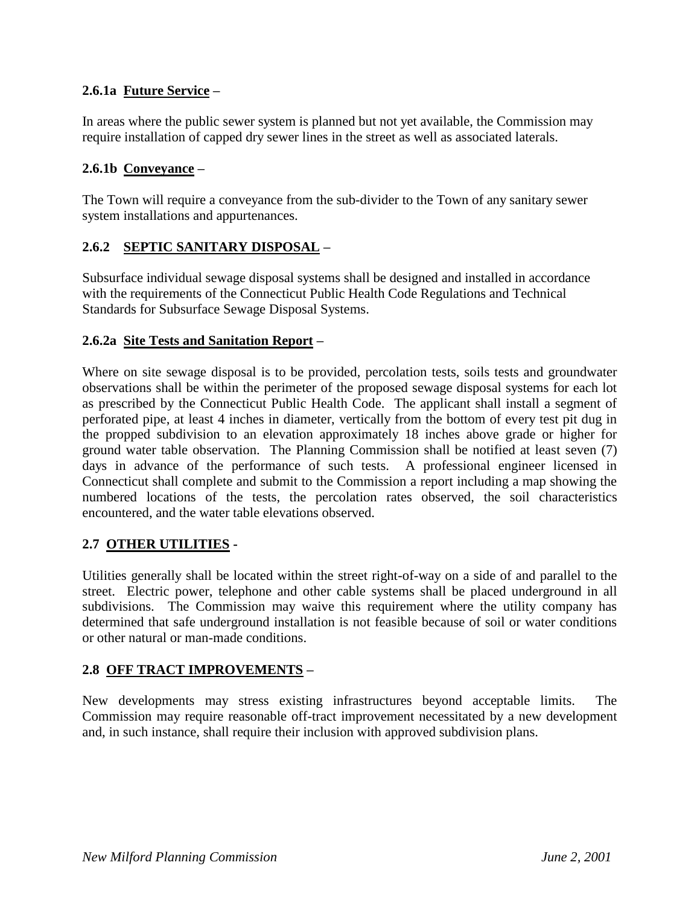## **2.6.1a Future Service –**

In areas where the public sewer system is planned but not yet available, the Commission may require installation of capped dry sewer lines in the street as well as associated laterals.

### **2.6.1b Conveyance –**

The Town will require a conveyance from the sub-divider to the Town of any sanitary sewer system installations and appurtenances.

### **2.6.2 SEPTIC SANITARY DISPOSAL –**

Subsurface individual sewage disposal systems shall be designed and installed in accordance with the requirements of the Connecticut Public Health Code Regulations and Technical Standards for Subsurface Sewage Disposal Systems.

#### **2.6.2a Site Tests and Sanitation Report –**

Where on site sewage disposal is to be provided, percolation tests, soils tests and groundwater observations shall be within the perimeter of the proposed sewage disposal systems for each lot as prescribed by the Connecticut Public Health Code. The applicant shall install a segment of perforated pipe, at least 4 inches in diameter, vertically from the bottom of every test pit dug in the propped subdivision to an elevation approximately 18 inches above grade or higher for ground water table observation. The Planning Commission shall be notified at least seven (7) days in advance of the performance of such tests. A professional engineer licensed in Connecticut shall complete and submit to the Commission a report including a map showing the numbered locations of the tests, the percolation rates observed, the soil characteristics encountered, and the water table elevations observed.

### **2.7 OTHER UTILITIES -**

Utilities generally shall be located within the street right-of-way on a side of and parallel to the street. Electric power, telephone and other cable systems shall be placed underground in all subdivisions. The Commission may waive this requirement where the utility company has determined that safe underground installation is not feasible because of soil or water conditions or other natural or man-made conditions.

### **2.8 OFF TRACT IMPROVEMENTS –**

New developments may stress existing infrastructures beyond acceptable limits. The Commission may require reasonable off-tract improvement necessitated by a new development and, in such instance, shall require their inclusion with approved subdivision plans.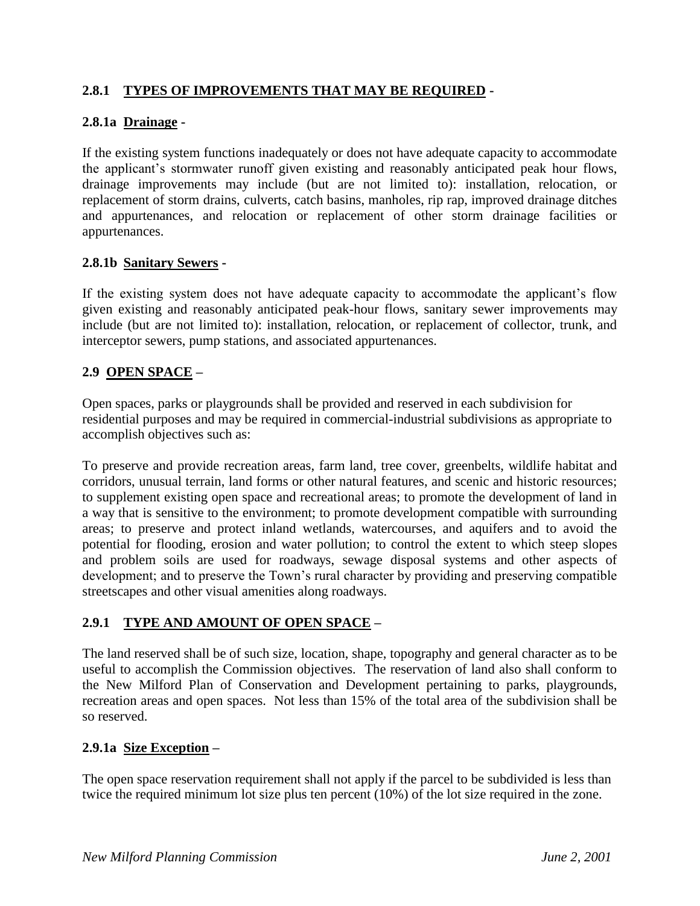# **2.8.1 TYPES OF IMPROVEMENTS THAT MAY BE REQUIRED -**

### **2.8.1a Drainage -**

If the existing system functions inadequately or does not have adequate capacity to accommodate the applicant's stormwater runoff given existing and reasonably anticipated peak hour flows, drainage improvements may include (but are not limited to): installation, relocation, or replacement of storm drains, culverts, catch basins, manholes, rip rap, improved drainage ditches and appurtenances, and relocation or replacement of other storm drainage facilities or appurtenances.

#### **2.8.1b Sanitary Sewers -**

If the existing system does not have adequate capacity to accommodate the applicant's flow given existing and reasonably anticipated peak-hour flows, sanitary sewer improvements may include (but are not limited to): installation, relocation, or replacement of collector, trunk, and interceptor sewers, pump stations, and associated appurtenances.

### **2.9 OPEN SPACE –**

Open spaces, parks or playgrounds shall be provided and reserved in each subdivision for residential purposes and may be required in commercial-industrial subdivisions as appropriate to accomplish objectives such as:

To preserve and provide recreation areas, farm land, tree cover, greenbelts, wildlife habitat and corridors, unusual terrain, land forms or other natural features, and scenic and historic resources; to supplement existing open space and recreational areas; to promote the development of land in a way that is sensitive to the environment; to promote development compatible with surrounding areas; to preserve and protect inland wetlands, watercourses, and aquifers and to avoid the potential for flooding, erosion and water pollution; to control the extent to which steep slopes and problem soils are used for roadways, sewage disposal systems and other aspects of development; and to preserve the Town's rural character by providing and preserving compatible streetscapes and other visual amenities along roadways.

### **2.9.1 TYPE AND AMOUNT OF OPEN SPACE –**

The land reserved shall be of such size, location, shape, topography and general character as to be useful to accomplish the Commission objectives. The reservation of land also shall conform to the New Milford Plan of Conservation and Development pertaining to parks, playgrounds, recreation areas and open spaces. Not less than 15% of the total area of the subdivision shall be so reserved.

### **2.9.1a Size Exception –**

The open space reservation requirement shall not apply if the parcel to be subdivided is less than twice the required minimum lot size plus ten percent (10%) of the lot size required in the zone.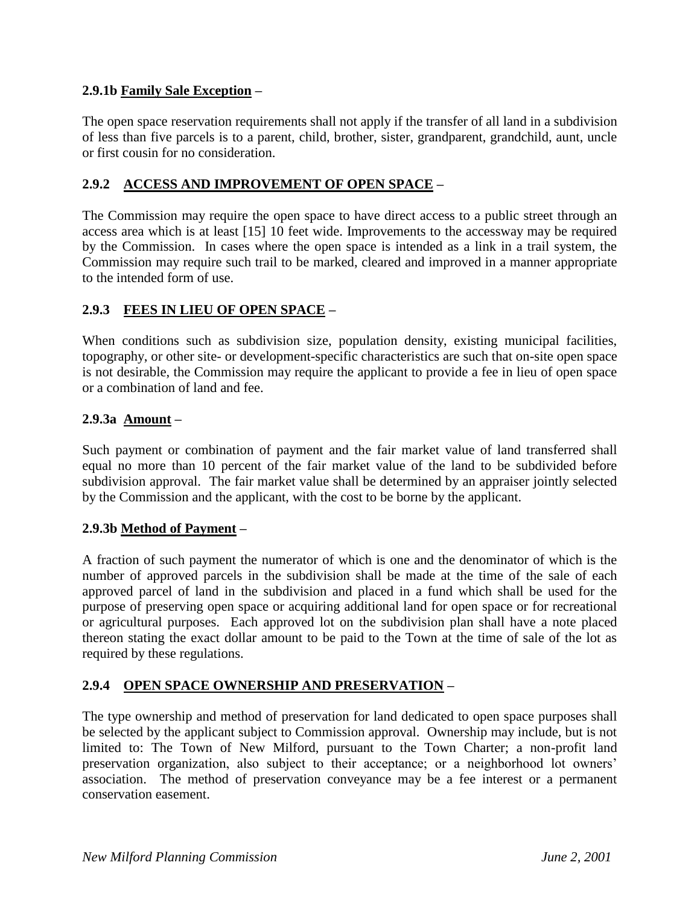### **2.9.1b Family Sale Exception –**

The open space reservation requirements shall not apply if the transfer of all land in a subdivision of less than five parcels is to a parent, child, brother, sister, grandparent, grandchild, aunt, uncle or first cousin for no consideration.

#### **2.9.2 ACCESS AND IMPROVEMENT OF OPEN SPACE –**

The Commission may require the open space to have direct access to a public street through an access area which is at least [15] 10 feet wide. Improvements to the accessway may be required by the Commission. In cases where the open space is intended as a link in a trail system, the Commission may require such trail to be marked, cleared and improved in a manner appropriate to the intended form of use.

#### **2.9.3 FEES IN LIEU OF OPEN SPACE –**

When conditions such as subdivision size, population density, existing municipal facilities, topography, or other site- or development-specific characteristics are such that on-site open space is not desirable, the Commission may require the applicant to provide a fee in lieu of open space or a combination of land and fee.

#### **2.9.3a Amount –**

Such payment or combination of payment and the fair market value of land transferred shall equal no more than 10 percent of the fair market value of the land to be subdivided before subdivision approval. The fair market value shall be determined by an appraiser jointly selected by the Commission and the applicant, with the cost to be borne by the applicant.

#### **2.9.3b Method of Payment –**

A fraction of such payment the numerator of which is one and the denominator of which is the number of approved parcels in the subdivision shall be made at the time of the sale of each approved parcel of land in the subdivision and placed in a fund which shall be used for the purpose of preserving open space or acquiring additional land for open space or for recreational or agricultural purposes. Each approved lot on the subdivision plan shall have a note placed thereon stating the exact dollar amount to be paid to the Town at the time of sale of the lot as required by these regulations.

#### **2.9.4 OPEN SPACE OWNERSHIP AND PRESERVATION –**

The type ownership and method of preservation for land dedicated to open space purposes shall be selected by the applicant subject to Commission approval. Ownership may include, but is not limited to: The Town of New Milford, pursuant to the Town Charter; a non-profit land preservation organization, also subject to their acceptance; or a neighborhood lot owners' association. The method of preservation conveyance may be a fee interest or a permanent conservation easement.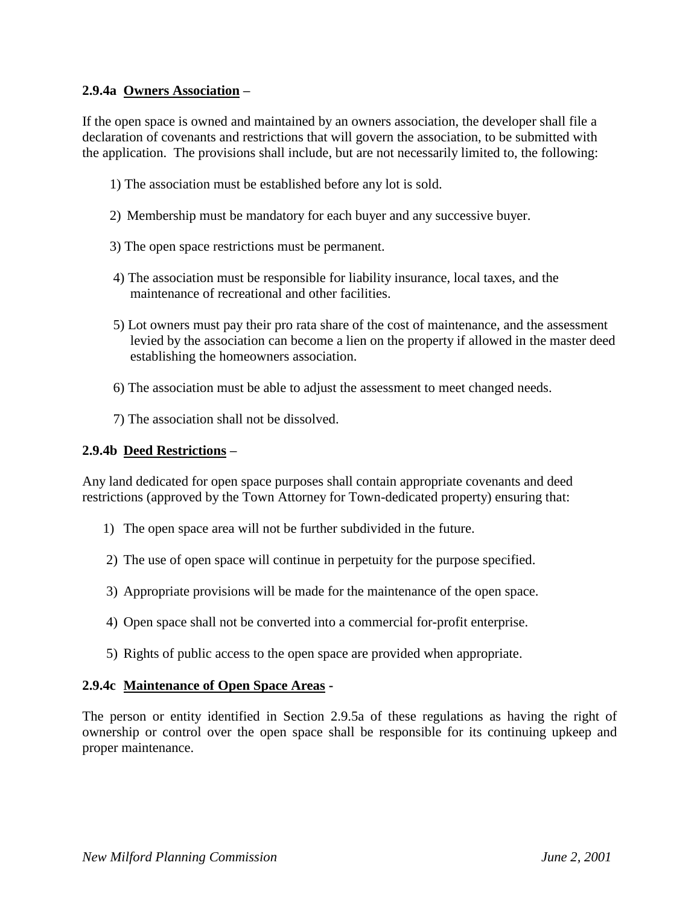#### **2.9.4a Owners Association –**

If the open space is owned and maintained by an owners association, the developer shall file a declaration of covenants and restrictions that will govern the association, to be submitted with the application. The provisions shall include, but are not necessarily limited to, the following:

- 1) The association must be established before any lot is sold.
- 2) Membership must be mandatory for each buyer and any successive buyer.
- 3) The open space restrictions must be permanent.
- 4) The association must be responsible for liability insurance, local taxes, and the maintenance of recreational and other facilities.
- 5) Lot owners must pay their pro rata share of the cost of maintenance, and the assessment levied by the association can become a lien on the property if allowed in the master deed establishing the homeowners association.
- 6) The association must be able to adjust the assessment to meet changed needs.
- 7) The association shall not be dissolved.

#### **2.9.4b Deed Restrictions –**

Any land dedicated for open space purposes shall contain appropriate covenants and deed restrictions (approved by the Town Attorney for Town-dedicated property) ensuring that:

- 1) The open space area will not be further subdivided in the future.
- 2) The use of open space will continue in perpetuity for the purpose specified.
- 3) Appropriate provisions will be made for the maintenance of the open space.
- 4) Open space shall not be converted into a commercial for-profit enterprise.
- 5) Rights of public access to the open space are provided when appropriate.

#### **2.9.4c Maintenance of Open Space Areas -**

The person or entity identified in Section 2.9.5a of these regulations as having the right of ownership or control over the open space shall be responsible for its continuing upkeep and proper maintenance.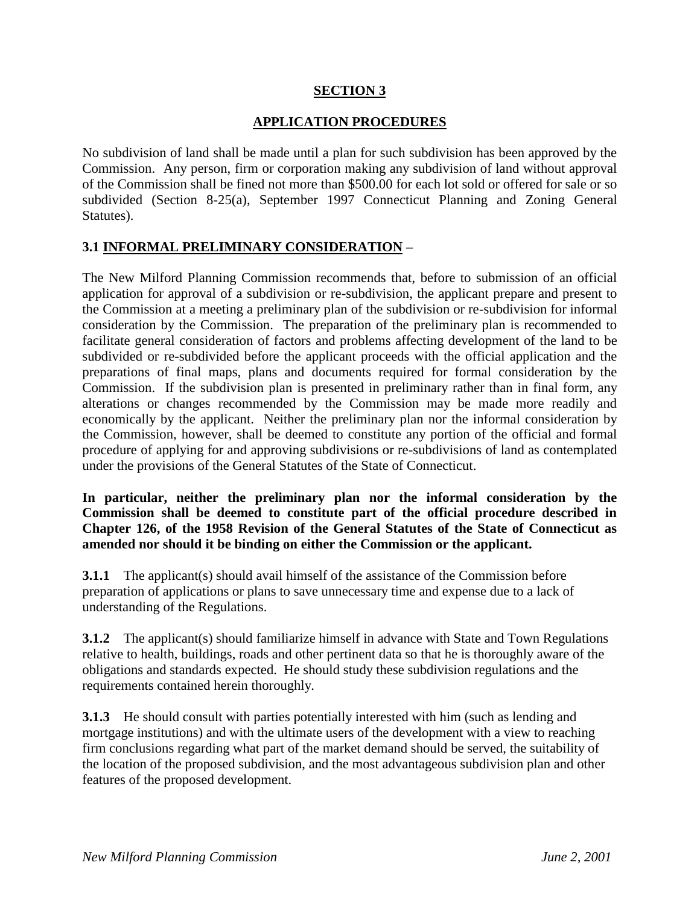### **SECTION 3**

### **APPLICATION PROCEDURES**

No subdivision of land shall be made until a plan for such subdivision has been approved by the Commission. Any person, firm or corporation making any subdivision of land without approval of the Commission shall be fined not more than \$500.00 for each lot sold or offered for sale or so subdivided (Section 8-25(a), September 1997 Connecticut Planning and Zoning General Statutes).

### **3.1 INFORMAL PRELIMINARY CONSIDERATION –**

The New Milford Planning Commission recommends that, before to submission of an official application for approval of a subdivision or re-subdivision, the applicant prepare and present to the Commission at a meeting a preliminary plan of the subdivision or re-subdivision for informal consideration by the Commission. The preparation of the preliminary plan is recommended to facilitate general consideration of factors and problems affecting development of the land to be subdivided or re-subdivided before the applicant proceeds with the official application and the preparations of final maps, plans and documents required for formal consideration by the Commission. If the subdivision plan is presented in preliminary rather than in final form, any alterations or changes recommended by the Commission may be made more readily and economically by the applicant. Neither the preliminary plan nor the informal consideration by the Commission, however, shall be deemed to constitute any portion of the official and formal procedure of applying for and approving subdivisions or re-subdivisions of land as contemplated under the provisions of the General Statutes of the State of Connecticut.

**In particular, neither the preliminary plan nor the informal consideration by the Commission shall be deemed to constitute part of the official procedure described in Chapter 126, of the 1958 Revision of the General Statutes of the State of Connecticut as amended nor should it be binding on either the Commission or the applicant.**

**3.1.1** The applicant(s) should avail himself of the assistance of the Commission before preparation of applications or plans to save unnecessary time and expense due to a lack of understanding of the Regulations.

**3.1.2** The applicant(s) should familiarize himself in advance with State and Town Regulations relative to health, buildings, roads and other pertinent data so that he is thoroughly aware of the obligations and standards expected. He should study these subdivision regulations and the requirements contained herein thoroughly.

**3.1.3** He should consult with parties potentially interested with him (such as lending and mortgage institutions) and with the ultimate users of the development with a view to reaching firm conclusions regarding what part of the market demand should be served, the suitability of the location of the proposed subdivision, and the most advantageous subdivision plan and other features of the proposed development.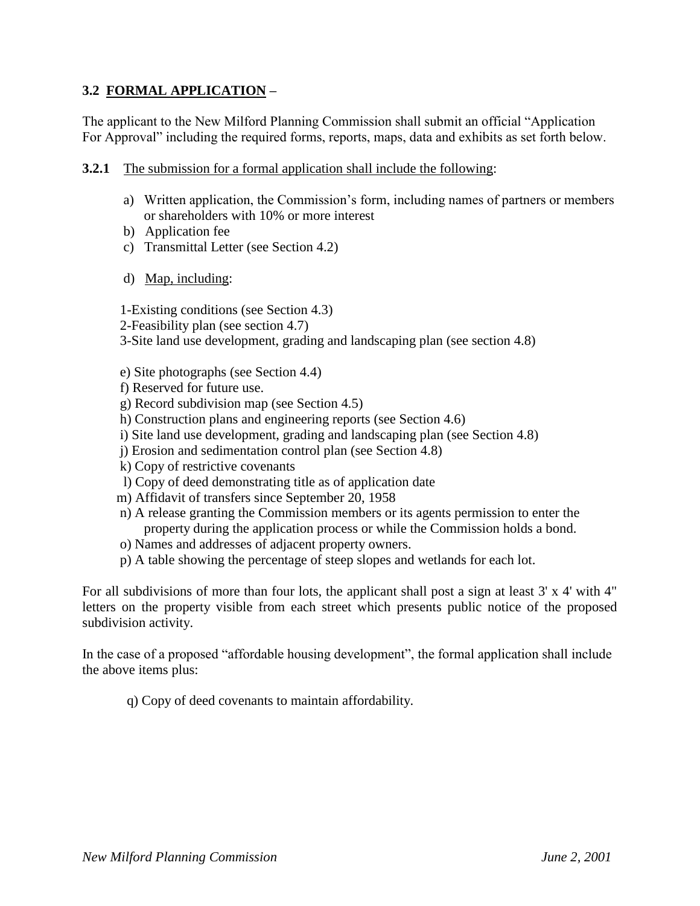### **3.2 FORMAL APPLICATION –**

The applicant to the New Milford Planning Commission shall submit an official "Application For Approval" including the required forms, reports, maps, data and exhibits as set forth below.

- **3.2.1** The submission for a formal application shall include the following:
	- a) Written application, the Commission's form, including names of partners or members or shareholders with 10% or more interest
	- b) Application fee
	- c) Transmittal Letter (see Section 4.2)
	- d) Map, including:

1-Existing conditions (see Section 4.3)

2-Feasibility plan (see section 4.7)

3-Site land use development, grading and landscaping plan (see section 4.8)

- e) Site photographs (see Section 4.4)
- f) Reserved for future use.
- g) Record subdivision map (see Section 4.5)
- h) Construction plans and engineering reports (see Section 4.6)
- i) Site land use development, grading and landscaping plan (see Section 4.8)
- j) Erosion and sedimentation control plan (see Section 4.8)
- k) Copy of restrictive covenants
- l) Copy of deed demonstrating title as of application date
- m) Affidavit of transfers since September 20, 1958
- n) A release granting the Commission members or its agents permission to enter the property during the application process or while the Commission holds a bond.
- o) Names and addresses of adjacent property owners.
- p) A table showing the percentage of steep slopes and wetlands for each lot.

For all subdivisions of more than four lots, the applicant shall post a sign at least 3' x 4' with 4" letters on the property visible from each street which presents public notice of the proposed subdivision activity.

In the case of a proposed "affordable housing development", the formal application shall include the above items plus:

q) Copy of deed covenants to maintain affordability.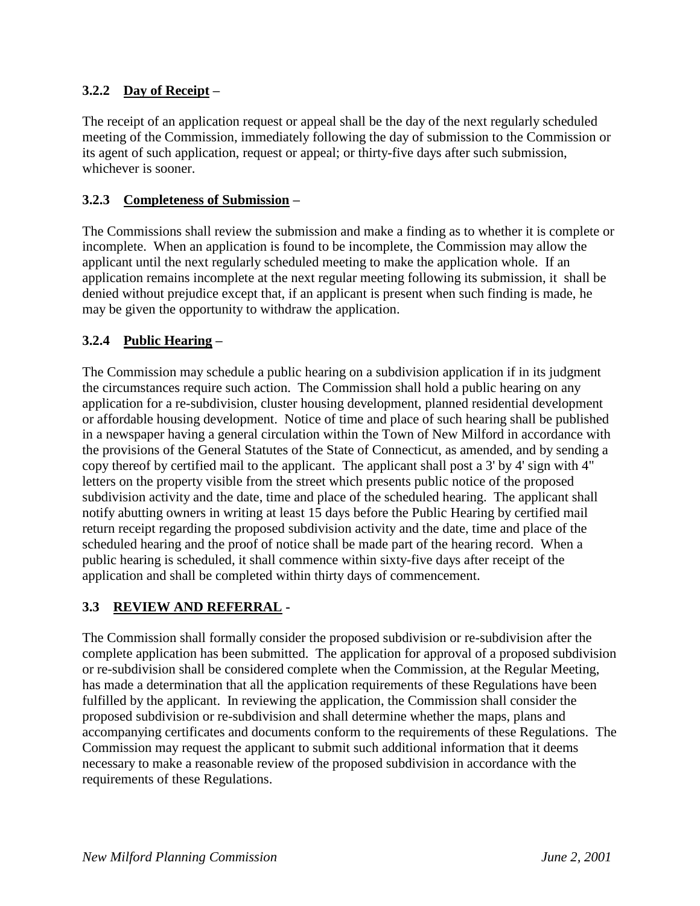# **3.2.2 Day of Receipt –**

The receipt of an application request or appeal shall be the day of the next regularly scheduled meeting of the Commission, immediately following the day of submission to the Commission or its agent of such application, request or appeal; or thirty-five days after such submission, whichever is sooner.

### **3.2.3 Completeness of Submission –**

The Commissions shall review the submission and make a finding as to whether it is complete or incomplete. When an application is found to be incomplete, the Commission may allow the applicant until the next regularly scheduled meeting to make the application whole. If an application remains incomplete at the next regular meeting following its submission, it shall be denied without prejudice except that, if an applicant is present when such finding is made, he may be given the opportunity to withdraw the application.

### **3.2.4 Public Hearing –**

The Commission may schedule a public hearing on a subdivision application if in its judgment the circumstances require such action. The Commission shall hold a public hearing on any application for a re-subdivision, cluster housing development, planned residential development or affordable housing development. Notice of time and place of such hearing shall be published in a newspaper having a general circulation within the Town of New Milford in accordance with the provisions of the General Statutes of the State of Connecticut, as amended, and by sending a copy thereof by certified mail to the applicant. The applicant shall post a 3' by 4' sign with 4" letters on the property visible from the street which presents public notice of the proposed subdivision activity and the date, time and place of the scheduled hearing. The applicant shall notify abutting owners in writing at least 15 days before the Public Hearing by certified mail return receipt regarding the proposed subdivision activity and the date, time and place of the scheduled hearing and the proof of notice shall be made part of the hearing record. When a public hearing is scheduled, it shall commence within sixty-five days after receipt of the application and shall be completed within thirty days of commencement.

### **3.3 REVIEW AND REFERRAL -**

The Commission shall formally consider the proposed subdivision or re-subdivision after the complete application has been submitted. The application for approval of a proposed subdivision or re-subdivision shall be considered complete when the Commission, at the Regular Meeting, has made a determination that all the application requirements of these Regulations have been fulfilled by the applicant. In reviewing the application, the Commission shall consider the proposed subdivision or re-subdivision and shall determine whether the maps, plans and accompanying certificates and documents conform to the requirements of these Regulations. The Commission may request the applicant to submit such additional information that it deems necessary to make a reasonable review of the proposed subdivision in accordance with the requirements of these Regulations.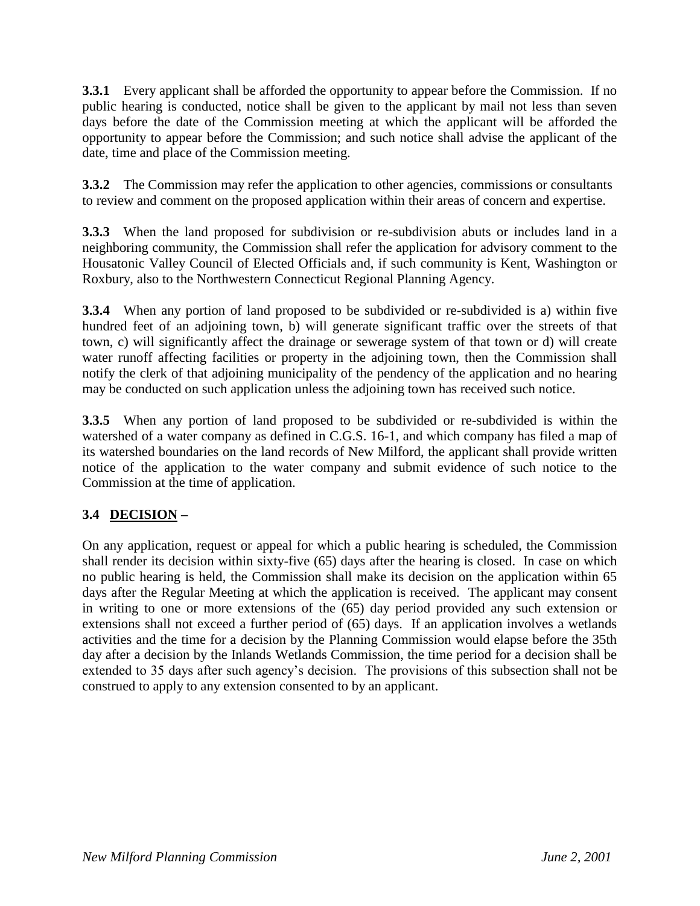**3.3.1** Every applicant shall be afforded the opportunity to appear before the Commission. If no public hearing is conducted, notice shall be given to the applicant by mail not less than seven days before the date of the Commission meeting at which the applicant will be afforded the opportunity to appear before the Commission; and such notice shall advise the applicant of the date, time and place of the Commission meeting.

**3.3.2** The Commission may refer the application to other agencies, commissions or consultants to review and comment on the proposed application within their areas of concern and expertise.

**3.3.3** When the land proposed for subdivision or re-subdivision abuts or includes land in a neighboring community, the Commission shall refer the application for advisory comment to the Housatonic Valley Council of Elected Officials and, if such community is Kent, Washington or Roxbury, also to the Northwestern Connecticut Regional Planning Agency.

**3.3.4** When any portion of land proposed to be subdivided or re-subdivided is a) within five hundred feet of an adjoining town, b) will generate significant traffic over the streets of that town, c) will significantly affect the drainage or sewerage system of that town or d) will create water runoff affecting facilities or property in the adjoining town, then the Commission shall notify the clerk of that adjoining municipality of the pendency of the application and no hearing may be conducted on such application unless the adjoining town has received such notice.

**3.3.5** When any portion of land proposed to be subdivided or re-subdivided is within the watershed of a water company as defined in C.G.S. 16-1, and which company has filed a map of its watershed boundaries on the land records of New Milford, the applicant shall provide written notice of the application to the water company and submit evidence of such notice to the Commission at the time of application.

# **3.4 DECISION –**

On any application, request or appeal for which a public hearing is scheduled, the Commission shall render its decision within sixty-five (65) days after the hearing is closed. In case on which no public hearing is held, the Commission shall make its decision on the application within 65 days after the Regular Meeting at which the application is received. The applicant may consent in writing to one or more extensions of the (65) day period provided any such extension or extensions shall not exceed a further period of (65) days. If an application involves a wetlands activities and the time for a decision by the Planning Commission would elapse before the 35th day after a decision by the Inlands Wetlands Commission, the time period for a decision shall be extended to 35 days after such agency's decision. The provisions of this subsection shall not be construed to apply to any extension consented to by an applicant.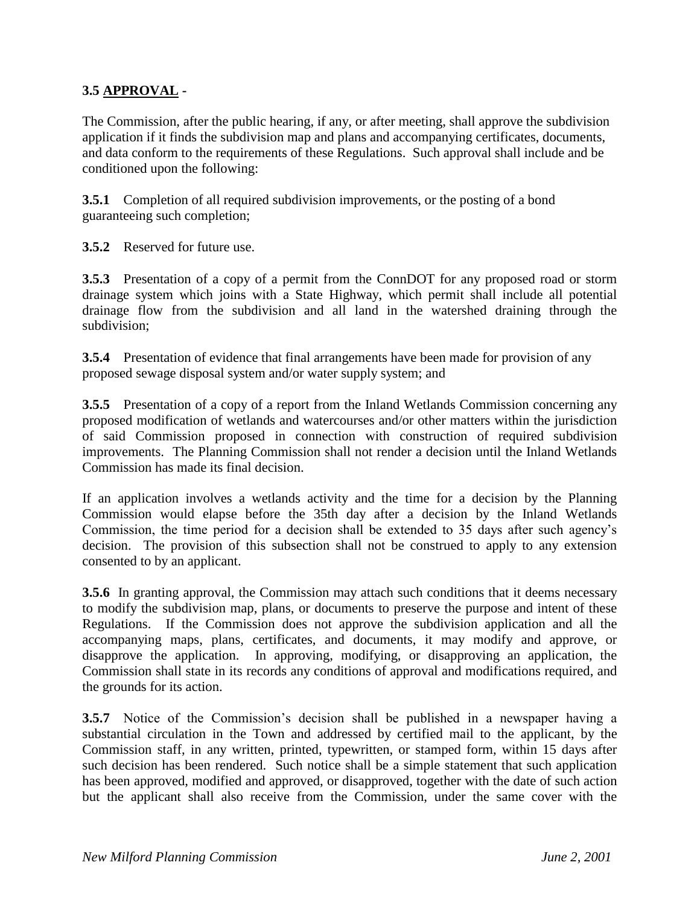## **3.5 APPROVAL -**

The Commission, after the public hearing, if any, or after meeting, shall approve the subdivision application if it finds the subdivision map and plans and accompanying certificates, documents, and data conform to the requirements of these Regulations. Such approval shall include and be conditioned upon the following:

**3.5.1** Completion of all required subdivision improvements, or the posting of a bond guaranteeing such completion;

**3.5.2** Reserved for future use.

**3.5.3** Presentation of a copy of a permit from the ConnDOT for any proposed road or storm drainage system which joins with a State Highway, which permit shall include all potential drainage flow from the subdivision and all land in the watershed draining through the subdivision;

**3.5.4** Presentation of evidence that final arrangements have been made for provision of any proposed sewage disposal system and/or water supply system; and

**3.5.5** Presentation of a copy of a report from the Inland Wetlands Commission concerning any proposed modification of wetlands and watercourses and/or other matters within the jurisdiction of said Commission proposed in connection with construction of required subdivision improvements. The Planning Commission shall not render a decision until the Inland Wetlands Commission has made its final decision.

If an application involves a wetlands activity and the time for a decision by the Planning Commission would elapse before the 35th day after a decision by the Inland Wetlands Commission, the time period for a decision shall be extended to 35 days after such agency's decision. The provision of this subsection shall not be construed to apply to any extension consented to by an applicant.

**3.5.6** In granting approval, the Commission may attach such conditions that it deems necessary to modify the subdivision map, plans, or documents to preserve the purpose and intent of these Regulations. If the Commission does not approve the subdivision application and all the accompanying maps, plans, certificates, and documents, it may modify and approve, or disapprove the application. In approving, modifying, or disapproving an application, the Commission shall state in its records any conditions of approval and modifications required, and the grounds for its action.

**3.5.7** Notice of the Commission's decision shall be published in a newspaper having a substantial circulation in the Town and addressed by certified mail to the applicant, by the Commission staff, in any written, printed, typewritten, or stamped form, within 15 days after such decision has been rendered. Such notice shall be a simple statement that such application has been approved, modified and approved, or disapproved, together with the date of such action but the applicant shall also receive from the Commission, under the same cover with the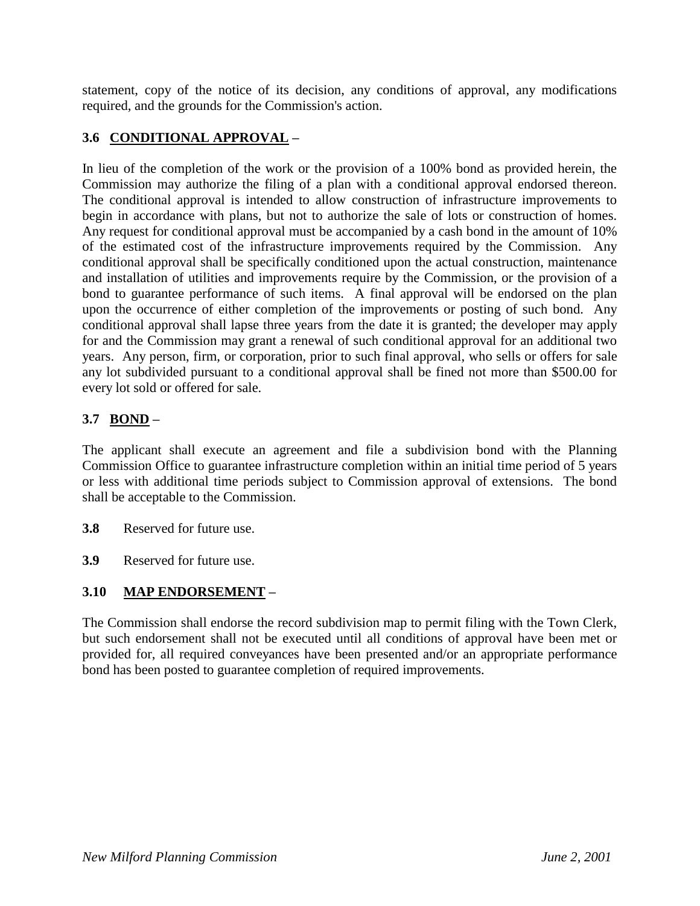statement, copy of the notice of its decision, any conditions of approval, any modifications required, and the grounds for the Commission's action.

# **3.6 CONDITIONAL APPROVAL –**

In lieu of the completion of the work or the provision of a 100% bond as provided herein, the Commission may authorize the filing of a plan with a conditional approval endorsed thereon. The conditional approval is intended to allow construction of infrastructure improvements to begin in accordance with plans, but not to authorize the sale of lots or construction of homes. Any request for conditional approval must be accompanied by a cash bond in the amount of 10% of the estimated cost of the infrastructure improvements required by the Commission. Any conditional approval shall be specifically conditioned upon the actual construction, maintenance and installation of utilities and improvements require by the Commission, or the provision of a bond to guarantee performance of such items. A final approval will be endorsed on the plan upon the occurrence of either completion of the improvements or posting of such bond. Any conditional approval shall lapse three years from the date it is granted; the developer may apply for and the Commission may grant a renewal of such conditional approval for an additional two years. Any person, firm, or corporation, prior to such final approval, who sells or offers for sale any lot subdivided pursuant to a conditional approval shall be fined not more than \$500.00 for every lot sold or offered for sale.

# **3.7 BOND –**

The applicant shall execute an agreement and file a subdivision bond with the Planning Commission Office to guarantee infrastructure completion within an initial time period of 5 years or less with additional time periods subject to Commission approval of extensions. The bond shall be acceptable to the Commission.

- **3.8** Reserved for future use.
- **3.9** Reserved for future use.

# **3.10 MAP ENDORSEMENT –**

The Commission shall endorse the record subdivision map to permit filing with the Town Clerk, but such endorsement shall not be executed until all conditions of approval have been met or provided for, all required conveyances have been presented and/or an appropriate performance bond has been posted to guarantee completion of required improvements.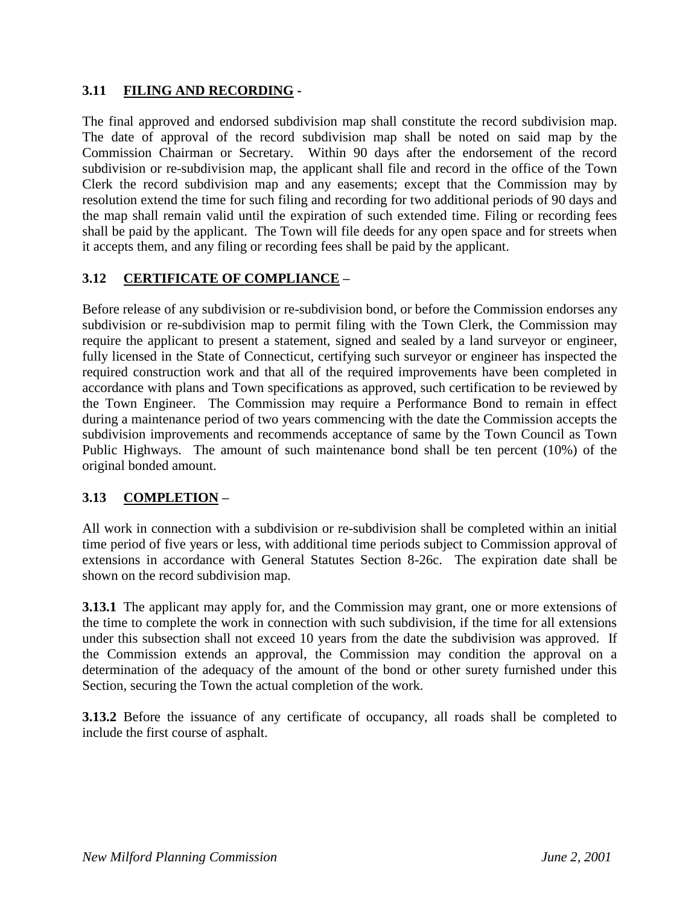### **3.11 FILING AND RECORDING -**

The final approved and endorsed subdivision map shall constitute the record subdivision map. The date of approval of the record subdivision map shall be noted on said map by the Commission Chairman or Secretary. Within 90 days after the endorsement of the record subdivision or re-subdivision map, the applicant shall file and record in the office of the Town Clerk the record subdivision map and any easements; except that the Commission may by resolution extend the time for such filing and recording for two additional periods of 90 days and the map shall remain valid until the expiration of such extended time. Filing or recording fees shall be paid by the applicant. The Town will file deeds for any open space and for streets when it accepts them, and any filing or recording fees shall be paid by the applicant.

### **3.12 CERTIFICATE OF COMPLIANCE –**

Before release of any subdivision or re-subdivision bond, or before the Commission endorses any subdivision or re-subdivision map to permit filing with the Town Clerk, the Commission may require the applicant to present a statement, signed and sealed by a land surveyor or engineer, fully licensed in the State of Connecticut, certifying such surveyor or engineer has inspected the required construction work and that all of the required improvements have been completed in accordance with plans and Town specifications as approved, such certification to be reviewed by the Town Engineer. The Commission may require a Performance Bond to remain in effect during a maintenance period of two years commencing with the date the Commission accepts the subdivision improvements and recommends acceptance of same by the Town Council as Town Public Highways. The amount of such maintenance bond shall be ten percent (10%) of the original bonded amount.

# **3.13 COMPLETION –**

All work in connection with a subdivision or re-subdivision shall be completed within an initial time period of five years or less, with additional time periods subject to Commission approval of extensions in accordance with General Statutes Section 8-26c. The expiration date shall be shown on the record subdivision map.

**3.13.1** The applicant may apply for, and the Commission may grant, one or more extensions of the time to complete the work in connection with such subdivision, if the time for all extensions under this subsection shall not exceed 10 years from the date the subdivision was approved. If the Commission extends an approval, the Commission may condition the approval on a determination of the adequacy of the amount of the bond or other surety furnished under this Section, securing the Town the actual completion of the work.

**3.13.2** Before the issuance of any certificate of occupancy, all roads shall be completed to include the first course of asphalt.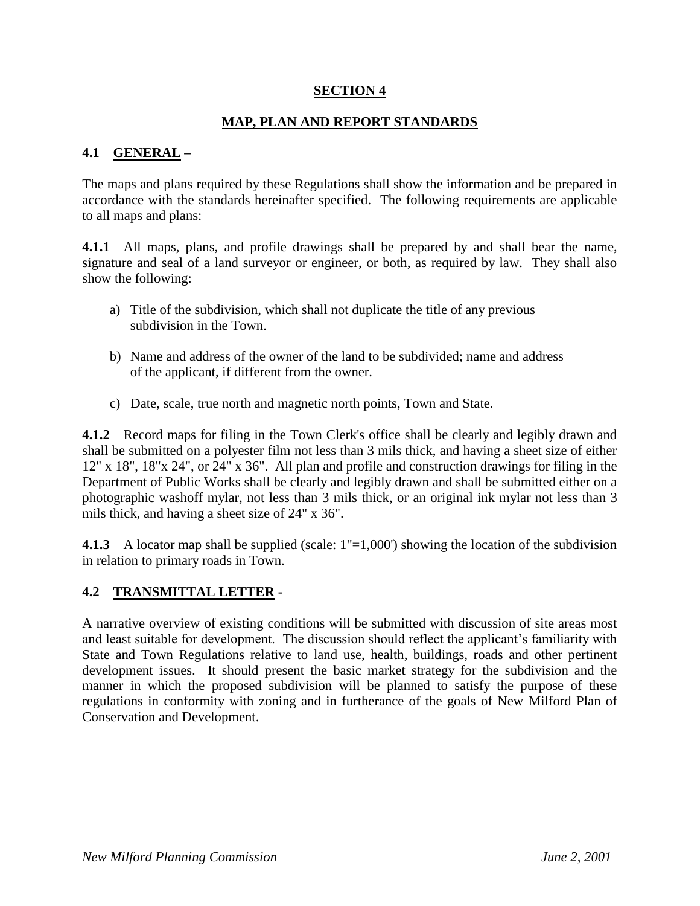### **SECTION 4**

### **MAP, PLAN AND REPORT STANDARDS**

### **4.1 GENERAL –**

The maps and plans required by these Regulations shall show the information and be prepared in accordance with the standards hereinafter specified. The following requirements are applicable to all maps and plans:

**4.1.1** All maps, plans, and profile drawings shall be prepared by and shall bear the name, signature and seal of a land surveyor or engineer, or both, as required by law. They shall also show the following:

- a) Title of the subdivision, which shall not duplicate the title of any previous subdivision in the Town.
- b) Name and address of the owner of the land to be subdivided; name and address of the applicant, if different from the owner.
- c) Date, scale, true north and magnetic north points, Town and State.

**4.1.2** Record maps for filing in the Town Clerk's office shall be clearly and legibly drawn and shall be submitted on a polyester film not less than 3 mils thick, and having a sheet size of either 12" x 18", 18"x 24", or 24" x 36". All plan and profile and construction drawings for filing in the Department of Public Works shall be clearly and legibly drawn and shall be submitted either on a photographic washoff mylar, not less than 3 mils thick, or an original ink mylar not less than 3 mils thick, and having a sheet size of 24" x 36".

**4.1.3** A locator map shall be supplied (scale:  $1"=1,000'$ ) showing the location of the subdivision in relation to primary roads in Town.

### **4.2 TRANSMITTAL LETTER -**

A narrative overview of existing conditions will be submitted with discussion of site areas most and least suitable for development. The discussion should reflect the applicant's familiarity with State and Town Regulations relative to land use, health, buildings, roads and other pertinent development issues. It should present the basic market strategy for the subdivision and the manner in which the proposed subdivision will be planned to satisfy the purpose of these regulations in conformity with zoning and in furtherance of the goals of New Milford Plan of Conservation and Development.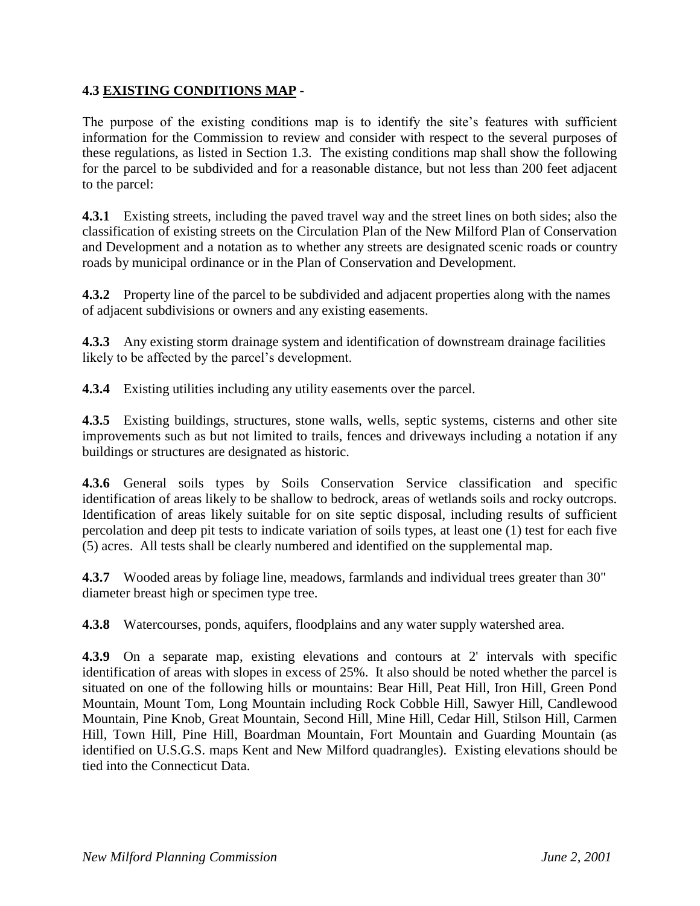### **4.3 EXISTING CONDITIONS MAP** -

The purpose of the existing conditions map is to identify the site's features with sufficient information for the Commission to review and consider with respect to the several purposes of these regulations, as listed in Section 1.3. The existing conditions map shall show the following for the parcel to be subdivided and for a reasonable distance, but not less than 200 feet adjacent to the parcel:

**4.3.1** Existing streets, including the paved travel way and the street lines on both sides; also the classification of existing streets on the Circulation Plan of the New Milford Plan of Conservation and Development and a notation as to whether any streets are designated scenic roads or country roads by municipal ordinance or in the Plan of Conservation and Development.

**4.3.2** Property line of the parcel to be subdivided and adjacent properties along with the names of adjacent subdivisions or owners and any existing easements.

**4.3.3** Any existing storm drainage system and identification of downstream drainage facilities likely to be affected by the parcel's development.

**4.3.4** Existing utilities including any utility easements over the parcel.

**4.3.5** Existing buildings, structures, stone walls, wells, septic systems, cisterns and other site improvements such as but not limited to trails, fences and driveways including a notation if any buildings or structures are designated as historic.

**4.3.6** General soils types by Soils Conservation Service classification and specific identification of areas likely to be shallow to bedrock, areas of wetlands soils and rocky outcrops. Identification of areas likely suitable for on site septic disposal, including results of sufficient percolation and deep pit tests to indicate variation of soils types, at least one (1) test for each five (5) acres. All tests shall be clearly numbered and identified on the supplemental map.

**4.3.7** Wooded areas by foliage line, meadows, farmlands and individual trees greater than 30" diameter breast high or specimen type tree.

**4.3.8** Watercourses, ponds, aquifers, floodplains and any water supply watershed area.

**4.3.9** On a separate map, existing elevations and contours at 2' intervals with specific identification of areas with slopes in excess of 25%. It also should be noted whether the parcel is situated on one of the following hills or mountains: Bear Hill, Peat Hill, Iron Hill, Green Pond Mountain, Mount Tom, Long Mountain including Rock Cobble Hill, Sawyer Hill, Candlewood Mountain, Pine Knob, Great Mountain, Second Hill, Mine Hill, Cedar Hill, Stilson Hill, Carmen Hill, Town Hill, Pine Hill, Boardman Mountain, Fort Mountain and Guarding Mountain (as identified on U.S.G.S. maps Kent and New Milford quadrangles). Existing elevations should be tied into the Connecticut Data.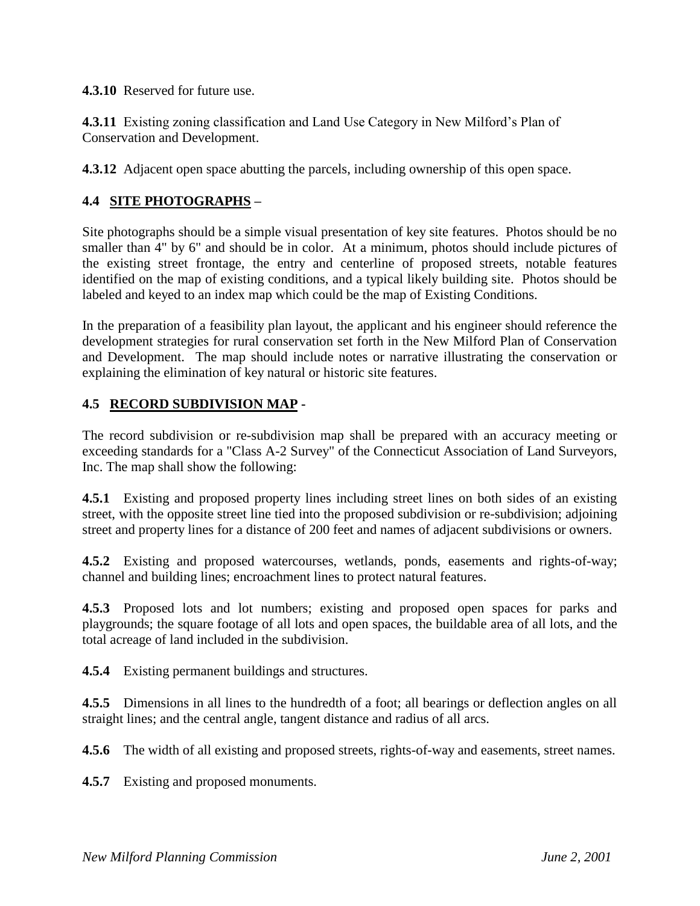**4.3.10** Reserved for future use.

**4.3.11** Existing zoning classification and Land Use Category in New Milford's Plan of Conservation and Development.

**4.3.12** Adjacent open space abutting the parcels, including ownership of this open space.

# **4.4 SITE PHOTOGRAPHS –**

Site photographs should be a simple visual presentation of key site features. Photos should be no smaller than 4" by 6" and should be in color. At a minimum, photos should include pictures of the existing street frontage, the entry and centerline of proposed streets, notable features identified on the map of existing conditions, and a typical likely building site. Photos should be labeled and keyed to an index map which could be the map of Existing Conditions.

In the preparation of a feasibility plan layout, the applicant and his engineer should reference the development strategies for rural conservation set forth in the New Milford Plan of Conservation and Development. The map should include notes or narrative illustrating the conservation or explaining the elimination of key natural or historic site features.

#### **4.5 RECORD SUBDIVISION MAP -**

The record subdivision or re-subdivision map shall be prepared with an accuracy meeting or exceeding standards for a "Class A-2 Survey" of the Connecticut Association of Land Surveyors, Inc. The map shall show the following:

**4.5.1** Existing and proposed property lines including street lines on both sides of an existing street, with the opposite street line tied into the proposed subdivision or re-subdivision; adjoining street and property lines for a distance of 200 feet and names of adjacent subdivisions or owners.

**4.5.2** Existing and proposed watercourses, wetlands, ponds, easements and rights-of-way; channel and building lines; encroachment lines to protect natural features.

**4.5.3** Proposed lots and lot numbers; existing and proposed open spaces for parks and playgrounds; the square footage of all lots and open spaces, the buildable area of all lots, and the total acreage of land included in the subdivision.

**4.5.4** Existing permanent buildings and structures.

**4.5.5** Dimensions in all lines to the hundredth of a foot; all bearings or deflection angles on all straight lines; and the central angle, tangent distance and radius of all arcs.

**4.5.6** The width of all existing and proposed streets, rights-of-way and easements, street names.

**4.5.7** Existing and proposed monuments.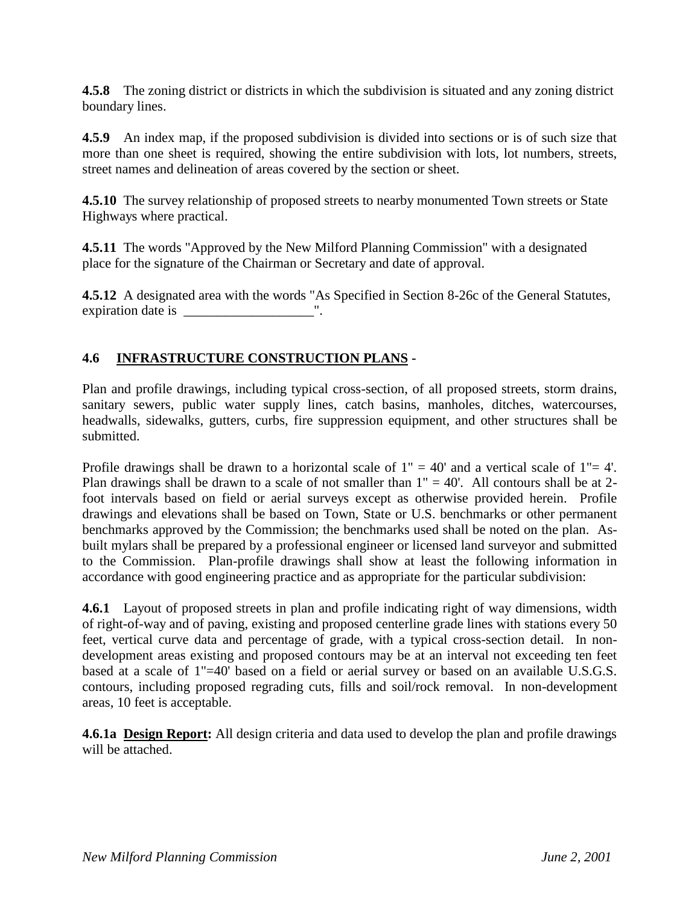**4.5.8** The zoning district or districts in which the subdivision is situated and any zoning district boundary lines.

**4.5.9** An index map, if the proposed subdivision is divided into sections or is of such size that more than one sheet is required, showing the entire subdivision with lots, lot numbers, streets, street names and delineation of areas covered by the section or sheet.

**4.5.10** The survey relationship of proposed streets to nearby monumented Town streets or State Highways where practical.

**4.5.11** The words "Approved by the New Milford Planning Commission" with a designated place for the signature of the Chairman or Secretary and date of approval.

**4.5.12** A designated area with the words "As Specified in Section 8-26c of the General Statutes, expiration date is \_\_\_\_\_\_\_\_\_\_\_\_\_\_\_\_\_\_\_".

# **4.6 INFRASTRUCTURE CONSTRUCTION PLANS -**

Plan and profile drawings, including typical cross-section, of all proposed streets, storm drains, sanitary sewers, public water supply lines, catch basins, manholes, ditches, watercourses, headwalls, sidewalks, gutters, curbs, fire suppression equipment, and other structures shall be submitted.

Profile drawings shall be drawn to a horizontal scale of  $1" = 40'$  and a vertical scale of  $1" = 4'$ . Plan drawings shall be drawn to a scale of not smaller than  $1" = 40'$ . All contours shall be at 2foot intervals based on field or aerial surveys except as otherwise provided herein. Profile drawings and elevations shall be based on Town, State or U.S. benchmarks or other permanent benchmarks approved by the Commission; the benchmarks used shall be noted on the plan. Asbuilt mylars shall be prepared by a professional engineer or licensed land surveyor and submitted to the Commission. Plan-profile drawings shall show at least the following information in accordance with good engineering practice and as appropriate for the particular subdivision:

**4.6.1** Layout of proposed streets in plan and profile indicating right of way dimensions, width of right-of-way and of paving, existing and proposed centerline grade lines with stations every 50 feet, vertical curve data and percentage of grade, with a typical cross-section detail. In nondevelopment areas existing and proposed contours may be at an interval not exceeding ten feet based at a scale of 1"=40' based on a field or aerial survey or based on an available U.S.G.S. contours, including proposed regrading cuts, fills and soil/rock removal. In non-development areas, 10 feet is acceptable.

**4.6.1a Design Report:** All design criteria and data used to develop the plan and profile drawings will be attached.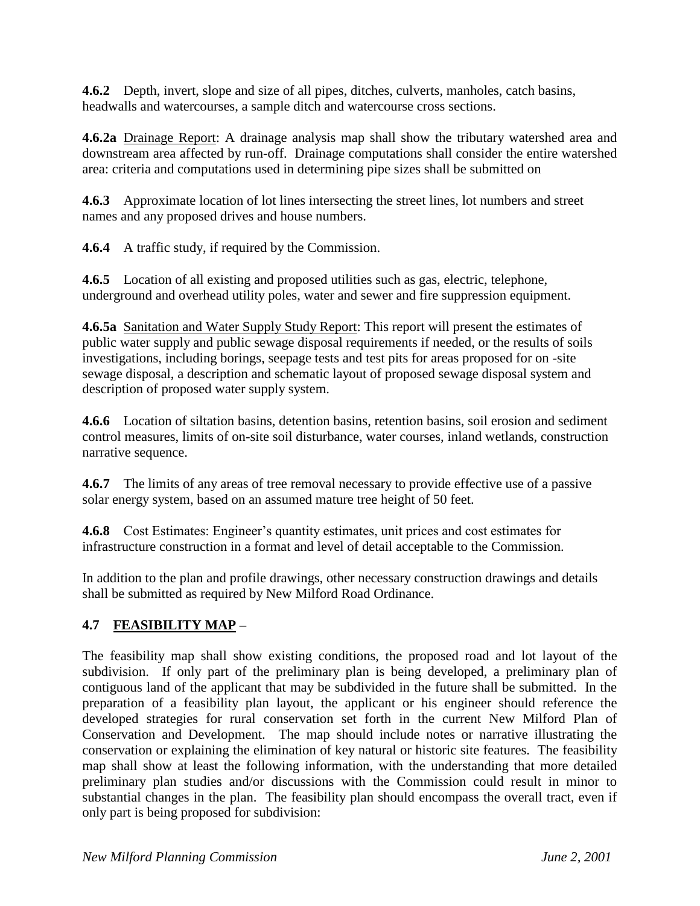**4.6.2** Depth, invert, slope and size of all pipes, ditches, culverts, manholes, catch basins, headwalls and watercourses, a sample ditch and watercourse cross sections.

**4.6.2a** Drainage Report: A drainage analysis map shall show the tributary watershed area and downstream area affected by run-off. Drainage computations shall consider the entire watershed area: criteria and computations used in determining pipe sizes shall be submitted on

**4.6.3** Approximate location of lot lines intersecting the street lines, lot numbers and street names and any proposed drives and house numbers.

**4.6.4** A traffic study, if required by the Commission.

**4.6.5** Location of all existing and proposed utilities such as gas, electric, telephone, underground and overhead utility poles, water and sewer and fire suppression equipment.

**4.6.5a** Sanitation and Water Supply Study Report: This report will present the estimates of public water supply and public sewage disposal requirements if needed, or the results of soils investigations, including borings, seepage tests and test pits for areas proposed for on -site sewage disposal, a description and schematic layout of proposed sewage disposal system and description of proposed water supply system.

**4.6.6** Location of siltation basins, detention basins, retention basins, soil erosion and sediment control measures, limits of on-site soil disturbance, water courses, inland wetlands, construction narrative sequence.

**4.6.7** The limits of any areas of tree removal necessary to provide effective use of a passive solar energy system, based on an assumed mature tree height of 50 feet.

**4.6.8** Cost Estimates: Engineer's quantity estimates, unit prices and cost estimates for infrastructure construction in a format and level of detail acceptable to the Commission.

In addition to the plan and profile drawings, other necessary construction drawings and details shall be submitted as required by New Milford Road Ordinance.

# **4.7 FEASIBILITY MAP –**

The feasibility map shall show existing conditions, the proposed road and lot layout of the subdivision. If only part of the preliminary plan is being developed, a preliminary plan of contiguous land of the applicant that may be subdivided in the future shall be submitted. In the preparation of a feasibility plan layout, the applicant or his engineer should reference the developed strategies for rural conservation set forth in the current New Milford Plan of Conservation and Development. The map should include notes or narrative illustrating the conservation or explaining the elimination of key natural or historic site features. The feasibility map shall show at least the following information, with the understanding that more detailed preliminary plan studies and/or discussions with the Commission could result in minor to substantial changes in the plan. The feasibility plan should encompass the overall tract, even if only part is being proposed for subdivision: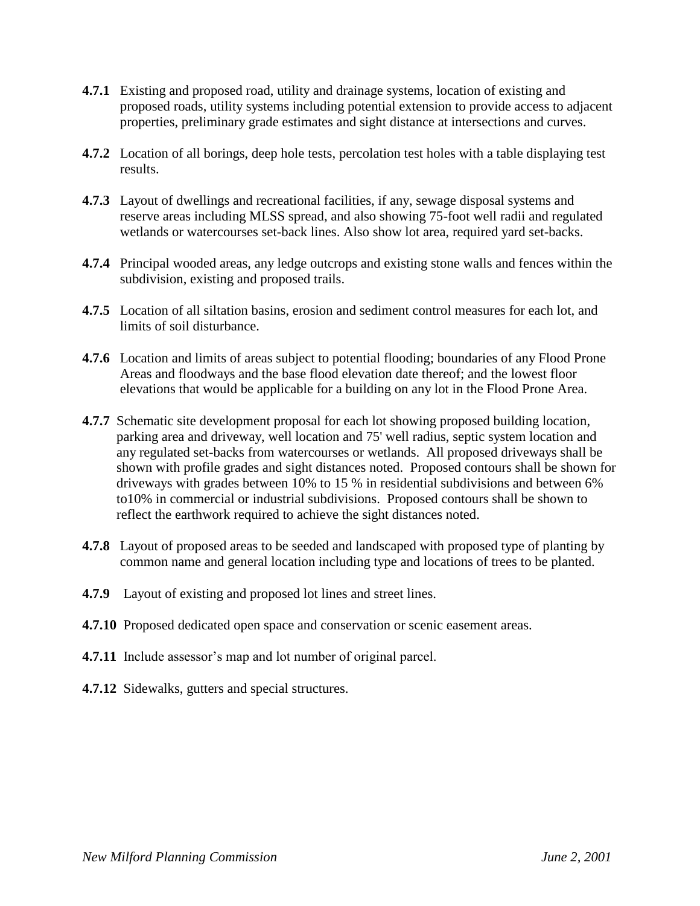- **4.7.1** Existing and proposed road, utility and drainage systems, location of existing and proposed roads, utility systems including potential extension to provide access to adjacent properties, preliminary grade estimates and sight distance at intersections and curves.
- **4.7.2** Location of all borings, deep hole tests, percolation test holes with a table displaying test results.
- **4.7.3** Layout of dwellings and recreational facilities, if any, sewage disposal systems and reserve areas including MLSS spread, and also showing 75-foot well radii and regulated wetlands or watercourses set-back lines. Also show lot area, required yard set-backs.
- **4.7.4** Principal wooded areas, any ledge outcrops and existing stone walls and fences within the subdivision, existing and proposed trails.
- **4.7.5** Location of all siltation basins, erosion and sediment control measures for each lot, and limits of soil disturbance.
- **4.7.6** Location and limits of areas subject to potential flooding; boundaries of any Flood Prone Areas and floodways and the base flood elevation date thereof; and the lowest floor elevations that would be applicable for a building on any lot in the Flood Prone Area.
- **4.7.7** Schematic site development proposal for each lot showing proposed building location, parking area and driveway, well location and 75' well radius, septic system location and any regulated set-backs from watercourses or wetlands. All proposed driveways shall be shown with profile grades and sight distances noted. Proposed contours shall be shown for driveways with grades between 10% to 15 % in residential subdivisions and between 6% to10% in commercial or industrial subdivisions. Proposed contours shall be shown to reflect the earthwork required to achieve the sight distances noted.
- **4.7.8** Layout of proposed areas to be seeded and landscaped with proposed type of planting by common name and general location including type and locations of trees to be planted.
- **4.7.9** Layout of existing and proposed lot lines and street lines.
- **4.7.10** Proposed dedicated open space and conservation or scenic easement areas.
- **4.7.11** Include assessor's map and lot number of original parcel.
- **4.7.12** Sidewalks, gutters and special structures.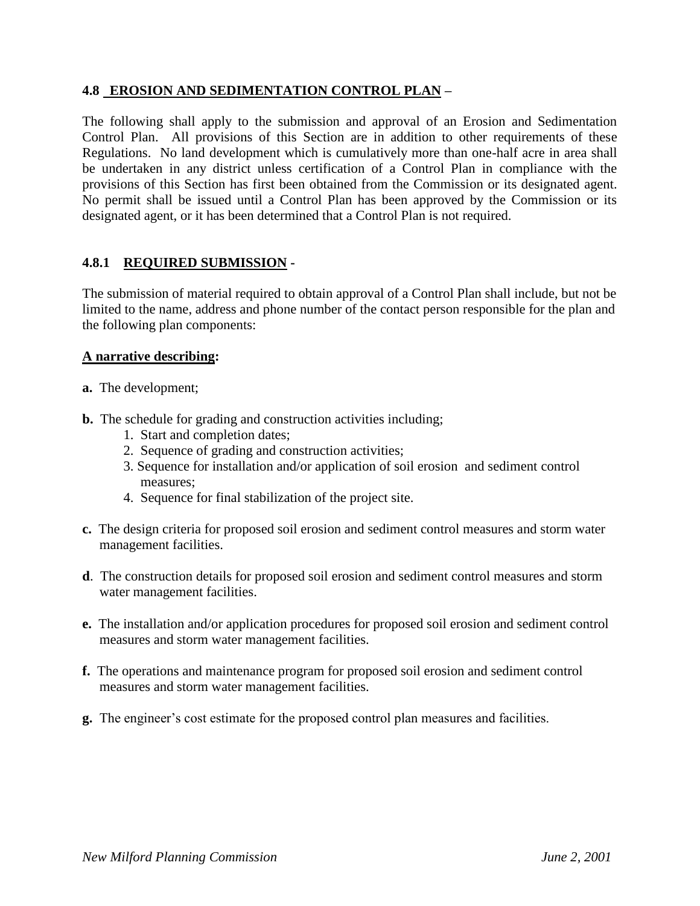### **4.8 EROSION AND SEDIMENTATION CONTROL PLAN –**

The following shall apply to the submission and approval of an Erosion and Sedimentation Control Plan. All provisions of this Section are in addition to other requirements of these Regulations. No land development which is cumulatively more than one-half acre in area shall be undertaken in any district unless certification of a Control Plan in compliance with the provisions of this Section has first been obtained from the Commission or its designated agent. No permit shall be issued until a Control Plan has been approved by the Commission or its designated agent, or it has been determined that a Control Plan is not required.

### **4.8.1 REQUIRED SUBMISSION -**

The submission of material required to obtain approval of a Control Plan shall include, but not be limited to the name, address and phone number of the contact person responsible for the plan and the following plan components:

#### **A narrative describing:**

- **a.** The development;
- **b.** The schedule for grading and construction activities including;
	- 1. Start and completion dates;
	- 2. Sequence of grading and construction activities;
	- 3. Sequence for installation and/or application of soil erosion and sediment control measures;
	- 4. Sequence for final stabilization of the project site.
- **c.** The design criteria for proposed soil erosion and sediment control measures and storm water management facilities.
- **d**. The construction details for proposed soil erosion and sediment control measures and storm water management facilities.
- **e.** The installation and/or application procedures for proposed soil erosion and sediment control measures and storm water management facilities.
- **f.** The operations and maintenance program for proposed soil erosion and sediment control measures and storm water management facilities.
- **g.** The engineer's cost estimate for the proposed control plan measures and facilities.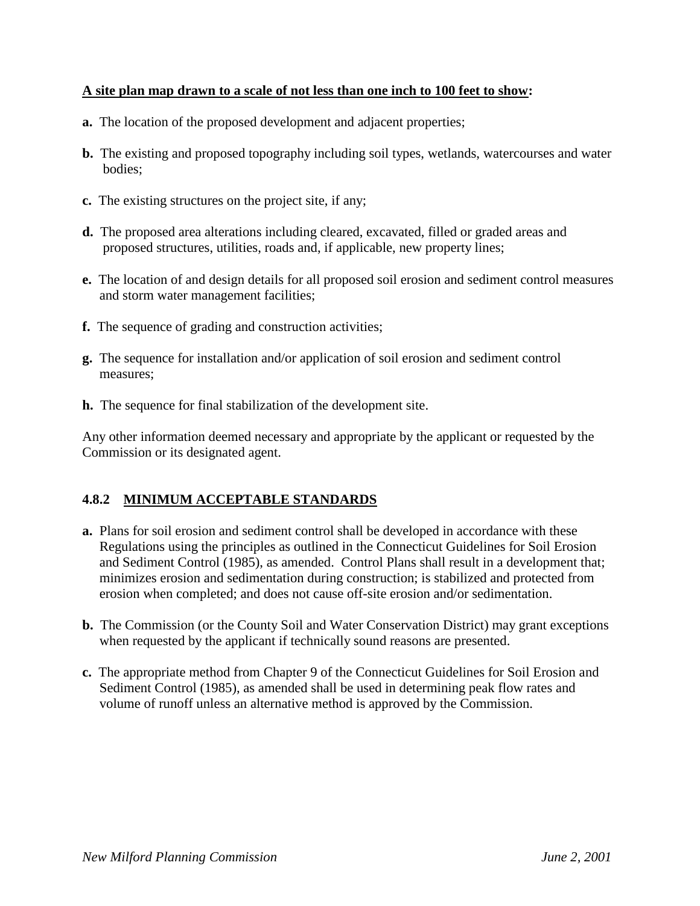### **A site plan map drawn to a scale of not less than one inch to 100 feet to show:**

- **a.** The location of the proposed development and adjacent properties;
- **b.** The existing and proposed topography including soil types, wetlands, watercourses and water bodies;
- **c.** The existing structures on the project site, if any;
- **d.** The proposed area alterations including cleared, excavated, filled or graded areas and proposed structures, utilities, roads and, if applicable, new property lines;
- **e.** The location of and design details for all proposed soil erosion and sediment control measures and storm water management facilities;
- **f.** The sequence of grading and construction activities;
- **g.** The sequence for installation and/or application of soil erosion and sediment control measures;
- **h.** The sequence for final stabilization of the development site.

Any other information deemed necessary and appropriate by the applicant or requested by the Commission or its designated agent.

### **4.8.2 MINIMUM ACCEPTABLE STANDARDS**

- **a.** Plans for soil erosion and sediment control shall be developed in accordance with these Regulations using the principles as outlined in the Connecticut Guidelines for Soil Erosion and Sediment Control (1985), as amended. Control Plans shall result in a development that; minimizes erosion and sedimentation during construction; is stabilized and protected from erosion when completed; and does not cause off-site erosion and/or sedimentation.
- **b.** The Commission (or the County Soil and Water Conservation District) may grant exceptions when requested by the applicant if technically sound reasons are presented.
- **c.** The appropriate method from Chapter 9 of the Connecticut Guidelines for Soil Erosion and Sediment Control (1985), as amended shall be used in determining peak flow rates and volume of runoff unless an alternative method is approved by the Commission.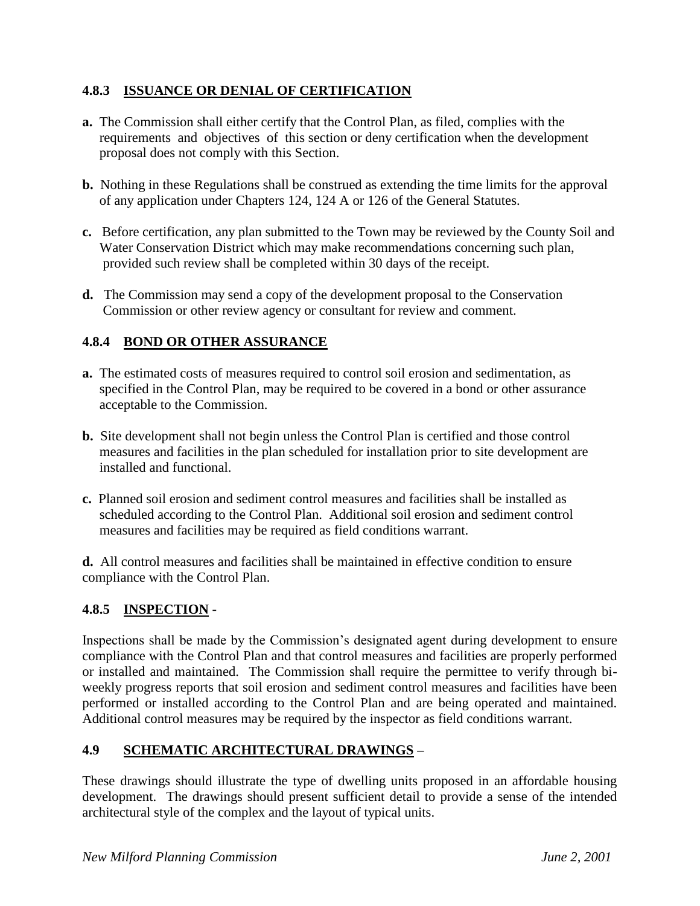### **4.8.3 ISSUANCE OR DENIAL OF CERTIFICATION**

- **a.** The Commission shall either certify that the Control Plan, as filed, complies with the requirements and objectives of this section or deny certification when the development proposal does not comply with this Section.
- **b.** Nothing in these Regulations shall be construed as extending the time limits for the approval of any application under Chapters 124, 124 A or 126 of the General Statutes.
- **c.** Before certification, any plan submitted to the Town may be reviewed by the County Soil and Water Conservation District which may make recommendations concerning such plan, provided such review shall be completed within 30 days of the receipt.
- **d.** The Commission may send a copy of the development proposal to the Conservation Commission or other review agency or consultant for review and comment.

# **4.8.4 BOND OR OTHER ASSURANCE**

- **a.** The estimated costs of measures required to control soil erosion and sedimentation, as specified in the Control Plan, may be required to be covered in a bond or other assurance acceptable to the Commission.
- **b.** Site development shall not begin unless the Control Plan is certified and those control measures and facilities in the plan scheduled for installation prior to site development are installed and functional.
- **c.** Planned soil erosion and sediment control measures and facilities shall be installed as scheduled according to the Control Plan. Additional soil erosion and sediment control measures and facilities may be required as field conditions warrant.

**d.** All control measures and facilities shall be maintained in effective condition to ensure compliance with the Control Plan.

# **4.8.5 INSPECTION -**

Inspections shall be made by the Commission's designated agent during development to ensure compliance with the Control Plan and that control measures and facilities are properly performed or installed and maintained. The Commission shall require the permittee to verify through biweekly progress reports that soil erosion and sediment control measures and facilities have been performed or installed according to the Control Plan and are being operated and maintained. Additional control measures may be required by the inspector as field conditions warrant.

# **4.9 SCHEMATIC ARCHITECTURAL DRAWINGS –**

These drawings should illustrate the type of dwelling units proposed in an affordable housing development. The drawings should present sufficient detail to provide a sense of the intended architectural style of the complex and the layout of typical units.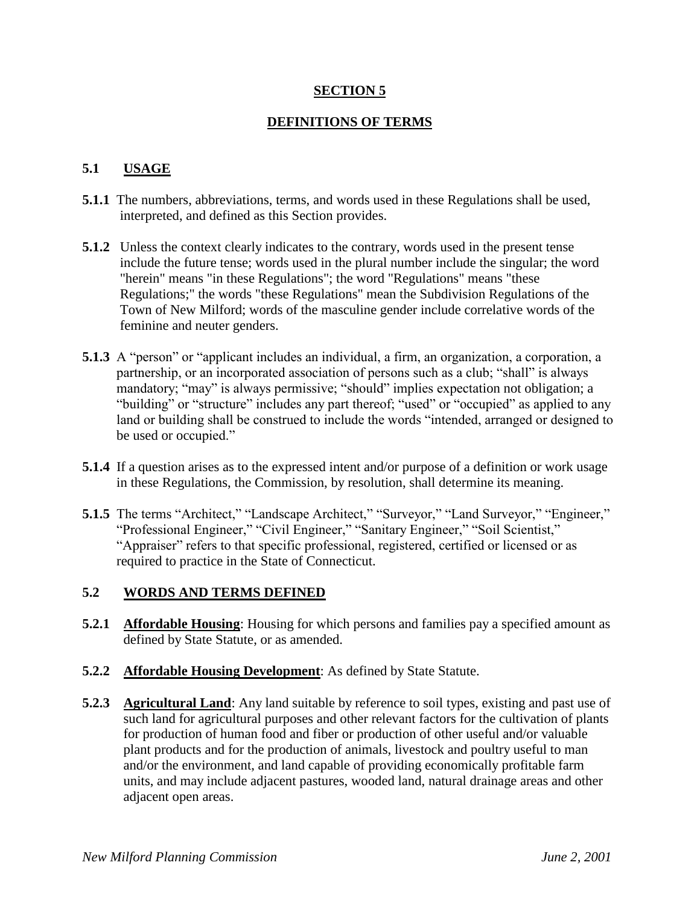### **SECTION 5**

### **DEFINITIONS OF TERMS**

### **5.1 USAGE**

- **5.1.1** The numbers, abbreviations, terms, and words used in these Regulations shall be used, interpreted, and defined as this Section provides.
- **5.1.2** Unless the context clearly indicates to the contrary, words used in the present tense include the future tense; words used in the plural number include the singular; the word "herein" means "in these Regulations"; the word "Regulations" means "these Regulations;" the words "these Regulations" mean the Subdivision Regulations of the Town of New Milford; words of the masculine gender include correlative words of the feminine and neuter genders.
- **5.1.3** A "person" or "applicant includes an individual, a firm, an organization, a corporation, a partnership, or an incorporated association of persons such as a club; "shall" is always mandatory; "may" is always permissive; "should" implies expectation not obligation; a "building" or "structure" includes any part thereof; "used" or "occupied" as applied to any land or building shall be construed to include the words "intended, arranged or designed to be used or occupied."
- **5.1.4** If a question arises as to the expressed intent and/or purpose of a definition or work usage in these Regulations, the Commission, by resolution, shall determine its meaning.
- **5.1.5** The terms "Architect," "Landscape Architect," "Surveyor," "Land Surveyor," "Engineer," "Professional Engineer," "Civil Engineer," "Sanitary Engineer," "Soil Scientist," "Appraiser" refers to that specific professional, registered, certified or licensed or as required to practice in the State of Connecticut.

### **5.2 WORDS AND TERMS DEFINED**

- **5.2.1 Affordable Housing**: Housing for which persons and families pay a specified amount as defined by State Statute, or as amended.
- **5.2.2 Affordable Housing Development:** As defined by State Statute.
- **5.2.3 Agricultural Land**: Any land suitable by reference to soil types, existing and past use of such land for agricultural purposes and other relevant factors for the cultivation of plants for production of human food and fiber or production of other useful and/or valuable plant products and for the production of animals, livestock and poultry useful to man and/or the environment, and land capable of providing economically profitable farm units, and may include adjacent pastures, wooded land, natural drainage areas and other adjacent open areas.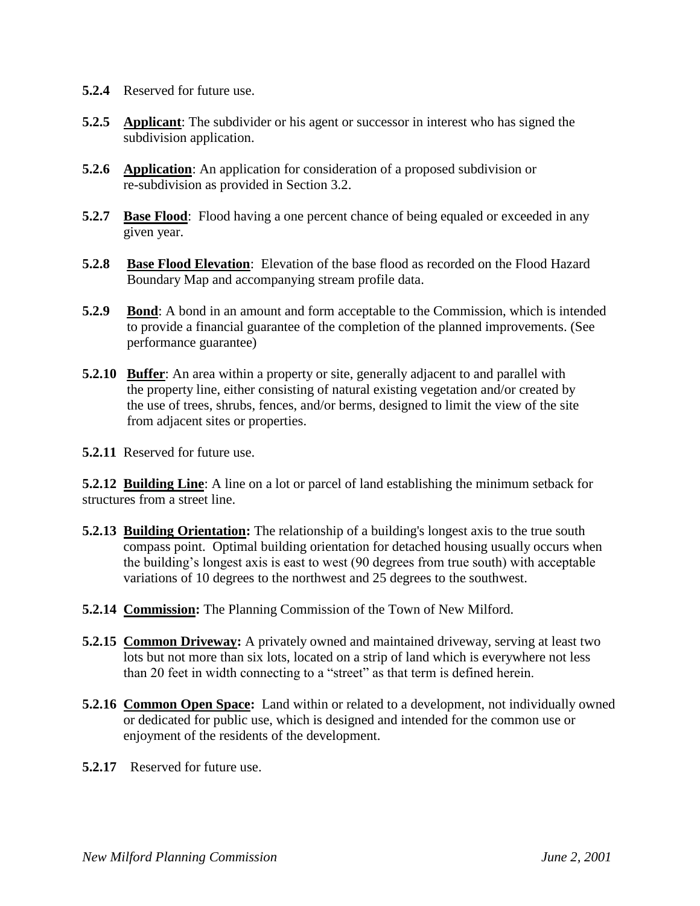- **5.2.4** Reserved for future use.
- **5.2.5 Applicant**: The subdivider or his agent or successor in interest who has signed the subdivision application.
- **5.2.6 Application**: An application for consideration of a proposed subdivision or re-subdivision as provided in Section 3.2.
- **5.2.7 Base Flood**: Flood having a one percent chance of being equaled or exceeded in any given year.
- **5.2.8 Base Flood Elevation**: Elevation of the base flood as recorded on the Flood Hazard Boundary Map and accompanying stream profile data.
- **5.2.9 Bond**: A bond in an amount and form acceptable to the Commission, which is intended to provide a financial guarantee of the completion of the planned improvements. (See performance guarantee)
- **5.2.10 Buffer**: An area within a property or site, generally adjacent to and parallel with the property line, either consisting of natural existing vegetation and/or created by the use of trees, shrubs, fences, and/or berms, designed to limit the view of the site from adjacent sites or properties.

**5.2.11** Reserved for future use.

**5.2.12 Building Line**: A line on a lot or parcel of land establishing the minimum setback for structures from a street line.

- **5.2.13 Building Orientation:** The relationship of a building's longest axis to the true south compass point. Optimal building orientation for detached housing usually occurs when the building's longest axis is east to west (90 degrees from true south) with acceptable variations of 10 degrees to the northwest and 25 degrees to the southwest.
- **5.2.14 Commission:** The Planning Commission of the Town of New Milford.
- **5.2.15 Common Driveway:** A privately owned and maintained driveway, serving at least two lots but not more than six lots, located on a strip of land which is everywhere not less than 20 feet in width connecting to a "street" as that term is defined herein.
- **5.2.16 Common Open Space:** Land within or related to a development, not individually owned or dedicated for public use, which is designed and intended for the common use or enjoyment of the residents of the development.
- **5.2.17** Reserved for future use.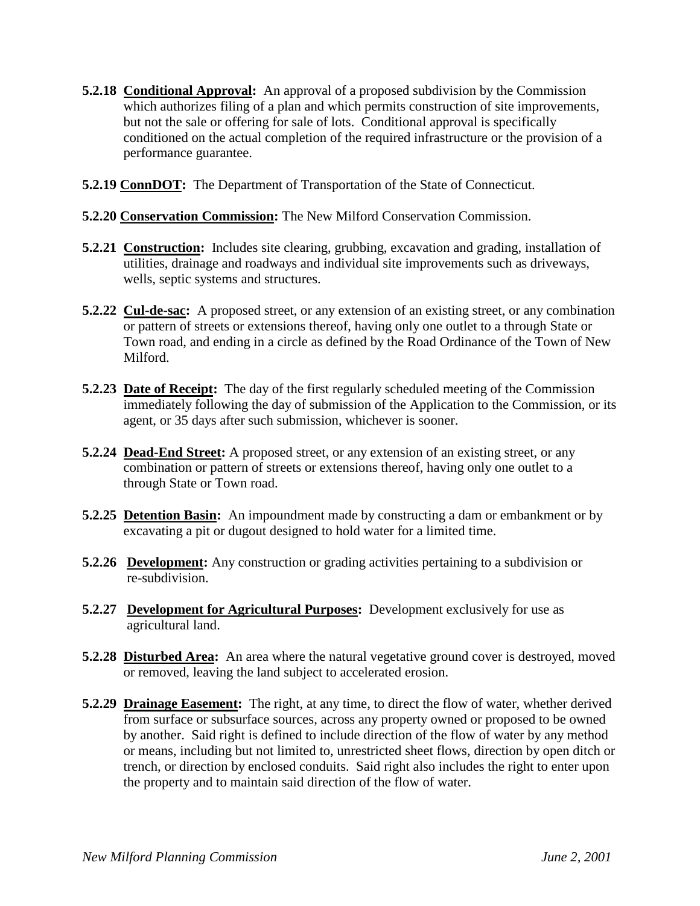- **5.2.18 Conditional Approval:** An approval of a proposed subdivision by the Commission which authorizes filing of a plan and which permits construction of site improvements, but not the sale or offering for sale of lots. Conditional approval is specifically conditioned on the actual completion of the required infrastructure or the provision of a performance guarantee.
- **5.2.19 ConnDOT:** The Department of Transportation of the State of Connecticut.
- **5.2.20 Conservation Commission:** The New Milford Conservation Commission.
- **5.2.21 Construction:** Includes site clearing, grubbing, excavation and grading, installation of utilities, drainage and roadways and individual site improvements such as driveways, wells, septic systems and structures.
- **5.2.22 Cul-de-sac:** A proposed street, or any extension of an existing street, or any combination or pattern of streets or extensions thereof, having only one outlet to a through State or Town road, and ending in a circle as defined by the Road Ordinance of the Town of New Milford.
- **5.2.23 Date of Receipt:** The day of the first regularly scheduled meeting of the Commission immediately following the day of submission of the Application to the Commission, or its agent, or 35 days after such submission, whichever is sooner.
- **5.2.24 Dead-End Street:** A proposed street, or any extension of an existing street, or any combination or pattern of streets or extensions thereof, having only one outlet to a through State or Town road.
- **5.2.25 Detention Basin:** An impoundment made by constructing a dam or embankment or by excavating a pit or dugout designed to hold water for a limited time.
- **5.2.26 Development:** Any construction or grading activities pertaining to a subdivision or re-subdivision.
- **5.2.27 Development for Agricultural Purposes:** Development exclusively for use as agricultural land.
- **5.2.28 Disturbed Area:** An area where the natural vegetative ground cover is destroyed, moved or removed, leaving the land subject to accelerated erosion.
- **5.2.29 Drainage Easement:** The right, at any time, to direct the flow of water, whether derived from surface or subsurface sources, across any property owned or proposed to be owned by another. Said right is defined to include direction of the flow of water by any method or means, including but not limited to, unrestricted sheet flows, direction by open ditch or trench, or direction by enclosed conduits. Said right also includes the right to enter upon the property and to maintain said direction of the flow of water.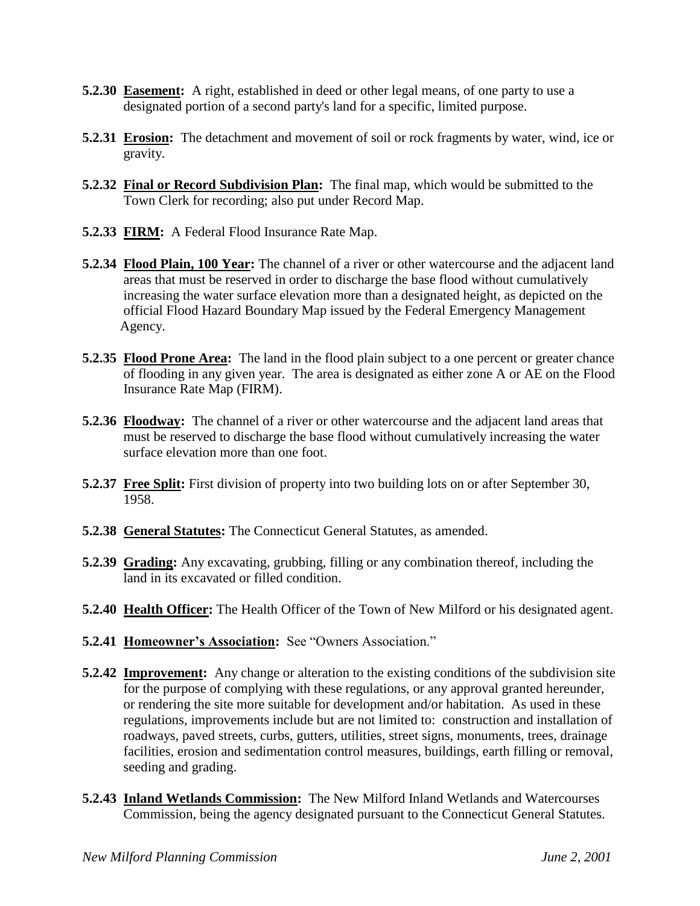- **5.2.30 Easement:** A right, established in deed or other legal means, of one party to use a designated portion of a second party's land for a specific, limited purpose.
- **5.2.31 Erosion:** The detachment and movement of soil or rock fragments by water, wind, ice or gravity.
- **5.2.32 Final or Record Subdivision Plan:** The final map, which would be submitted to the Town Clerk for recording; also put under Record Map.
- **5.2.33 FIRM:** A Federal Flood Insurance Rate Map.
- **5.2.34 Flood Plain, 100 Year:** The channel of a river or other watercourse and the adjacent land areas that must be reserved in order to discharge the base flood without cumulatively increasing the water surface elevation more than a designated height, as depicted on the official Flood Hazard Boundary Map issued by the Federal Emergency Management Agency.
- **5.2.35 Flood Prone Area:** The land in the flood plain subject to a one percent or greater chance of flooding in any given year. The area is designated as either zone A or AE on the Flood Insurance Rate Map (FIRM).
- **5.2.36 Floodway:** The channel of a river or other watercourse and the adjacent land areas that must be reserved to discharge the base flood without cumulatively increasing the water surface elevation more than one foot.
- **5.2.37 Free Split:** First division of property into two building lots on or after September 30, 1958.
- **5.2.38 General Statutes:** The Connecticut General Statutes, as amended.
- **5.2.39 Grading:** Any excavating, grubbing, filling or any combination thereof, including the land in its excavated or filled condition.
- **5.2.40 Health Officer:** The Health Officer of the Town of New Milford or his designated agent.
- **5.2.41 Homeowner's Association:** See "Owners Association."
- **5.2.42 Improvement:** Any change or alteration to the existing conditions of the subdivision site for the purpose of complying with these regulations, or any approval granted hereunder, or rendering the site more suitable for development and/or habitation. As used in these regulations, improvements include but are not limited to: construction and installation of roadways, paved streets, curbs, gutters, utilities, street signs, monuments, trees, drainage facilities, erosion and sedimentation control measures, buildings, earth filling or removal, seeding and grading.
- **5.2.43 Inland Wetlands Commission:** The New Milford Inland Wetlands and Watercourses Commission, being the agency designated pursuant to the Connecticut General Statutes.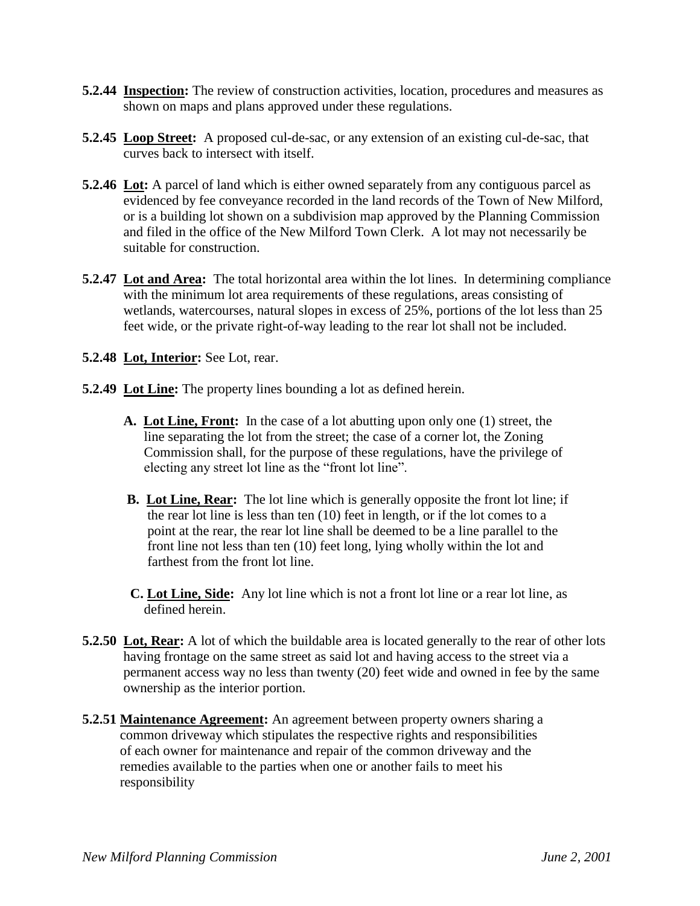- **5.2.44 Inspection:** The review of construction activities, location, procedures and measures as shown on maps and plans approved under these regulations.
- **5.2.45 Loop Street:** A proposed cul-de-sac, or any extension of an existing cul-de-sac, that curves back to intersect with itself.
- **5.2.46 Lot:** A parcel of land which is either owned separately from any contiguous parcel as evidenced by fee conveyance recorded in the land records of the Town of New Milford, or is a building lot shown on a subdivision map approved by the Planning Commission and filed in the office of the New Milford Town Clerk. A lot may not necessarily be suitable for construction.
- **5.2.47 Lot and Area:** The total horizontal area within the lot lines. In determining compliance with the minimum lot area requirements of these regulations, areas consisting of wetlands, watercourses, natural slopes in excess of 25%, portions of the lot less than 25 feet wide, or the private right-of-way leading to the rear lot shall not be included.
- **5.2.48 Lot, Interior:** See Lot, rear.
- **5.2.49 Lot Line:** The property lines bounding a lot as defined herein.
	- **A. Lot Line, Front:** In the case of a lot abutting upon only one (1) street, the line separating the lot from the street; the case of a corner lot, the Zoning Commission shall, for the purpose of these regulations, have the privilege of electing any street lot line as the "front lot line".
	- **B. Lot Line, Rear:** The lot line which is generally opposite the front lot line; if the rear lot line is less than ten (10) feet in length, or if the lot comes to a point at the rear, the rear lot line shall be deemed to be a line parallel to the front line not less than ten (10) feet long, lying wholly within the lot and farthest from the front lot line.
	- **C. Lot Line, Side:** Any lot line which is not a front lot line or a rear lot line, as defined herein.
- **5.2.50 Lot, Rear:** A lot of which the buildable area is located generally to the rear of other lots having frontage on the same street as said lot and having access to the street via a permanent access way no less than twenty (20) feet wide and owned in fee by the same ownership as the interior portion.
- **5.2.51 Maintenance Agreement:** An agreement between property owners sharing a common driveway which stipulates the respective rights and responsibilities of each owner for maintenance and repair of the common driveway and the remedies available to the parties when one or another fails to meet his responsibility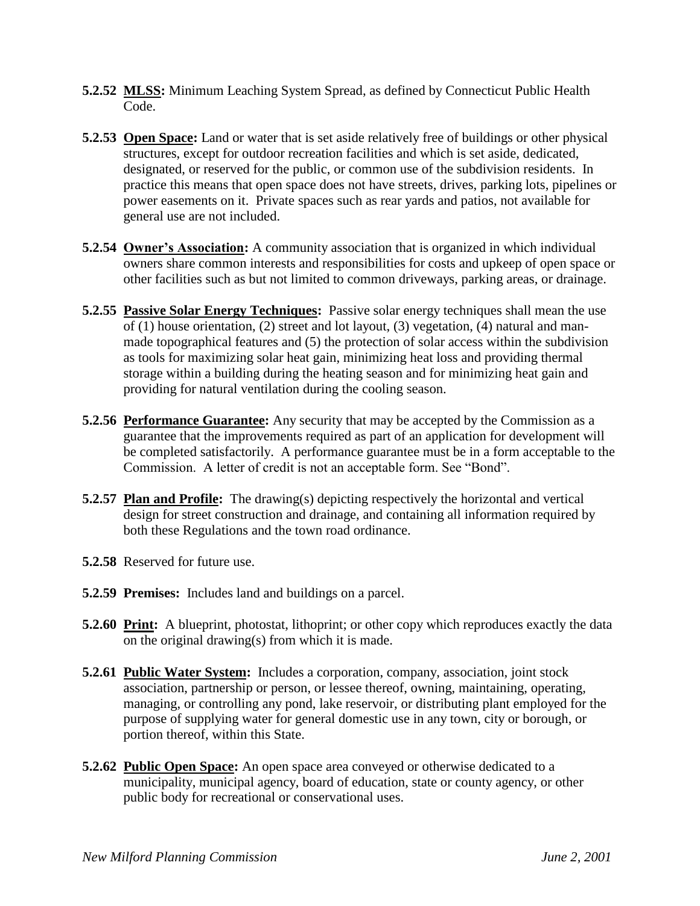- **5.2.52 MLSS:** Minimum Leaching System Spread, as defined by Connecticut Public Health Code.
- **5.2.53 Open Space:** Land or water that is set aside relatively free of buildings or other physical structures, except for outdoor recreation facilities and which is set aside, dedicated, designated, or reserved for the public, or common use of the subdivision residents. In practice this means that open space does not have streets, drives, parking lots, pipelines or power easements on it. Private spaces such as rear yards and patios, not available for general use are not included.
- **5.2.54 Owner's Association:** A community association that is organized in which individual owners share common interests and responsibilities for costs and upkeep of open space or other facilities such as but not limited to common driveways, parking areas, or drainage.
- **5.2.55 Passive Solar Energy Techniques:** Passive solar energy techniques shall mean the use of (1) house orientation, (2) street and lot layout, (3) vegetation, (4) natural and man made topographical features and (5) the protection of solar access within the subdivision as tools for maximizing solar heat gain, minimizing heat loss and providing thermal storage within a building during the heating season and for minimizing heat gain and providing for natural ventilation during the cooling season.
- **5.2.56 Performance Guarantee:** Any security that may be accepted by the Commission as a guarantee that the improvements required as part of an application for development will be completed satisfactorily. A performance guarantee must be in a form acceptable to the Commission. A letter of credit is not an acceptable form. See "Bond".
- **5.2.57 Plan and Profile:** The drawing(s) depicting respectively the horizontal and vertical design for street construction and drainage, and containing all information required by both these Regulations and the town road ordinance.
- **5.2.58** Reserved for future use.
- **5.2.59 Premises:** Includes land and buildings on a parcel.
- **5.2.60 Print:** A blueprint, photostat, lithoprint; or other copy which reproduces exactly the data on the original drawing(s) from which it is made.
- **5.2.61 Public Water System:** Includes a corporation, company, association, joint stock association, partnership or person, or lessee thereof, owning, maintaining, operating, managing, or controlling any pond, lake reservoir, or distributing plant employed for the purpose of supplying water for general domestic use in any town, city or borough, or portion thereof, within this State.
- **5.2.62 Public Open Space:** An open space area conveyed or otherwise dedicated to a municipality, municipal agency, board of education, state or county agency, or other public body for recreational or conservational uses.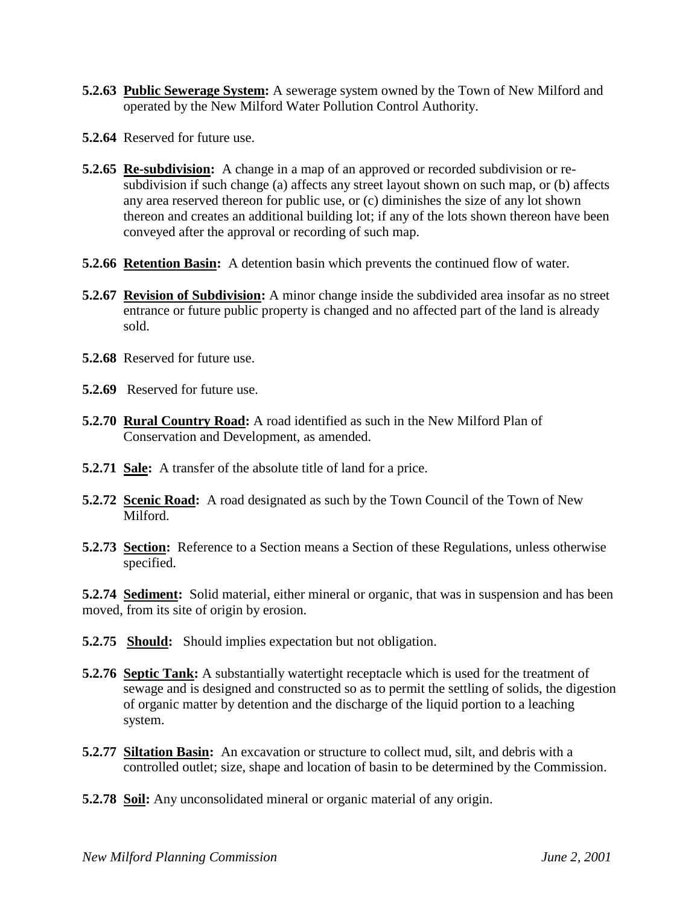- **5.2.63 Public Sewerage System:** A sewerage system owned by the Town of New Milford and operated by the New Milford Water Pollution Control Authority.
- **5.2.64** Reserved for future use.
- **5.2.65 Re-subdivision:** A change in a map of an approved or recorded subdivision or re subdivision if such change (a) affects any street layout shown on such map, or (b) affects any area reserved thereon for public use, or (c) diminishes the size of any lot shown thereon and creates an additional building lot; if any of the lots shown thereon have been conveyed after the approval or recording of such map.
- **5.2.66 Retention Basin:** A detention basin which prevents the continued flow of water.
- **5.2.67 Revision of Subdivision:** A minor change inside the subdivided area insofar as no street entrance or future public property is changed and no affected part of the land is already sold.
- **5.2.68** Reserved for future use.
- **5.2.69** Reserved for future use.
- **5.2.70 Rural Country Road:** A road identified as such in the New Milford Plan of Conservation and Development, as amended.
- **5.2.71 Sale:** A transfer of the absolute title of land for a price.
- **5.2.72 Scenic Road:** A road designated as such by the Town Council of the Town of New Milford.
- **5.2.73 Section:** Reference to a Section means a Section of these Regulations, unless otherwise specified.

**5.2.74 Sediment:** Solid material, either mineral or organic, that was in suspension and has been moved, from its site of origin by erosion.

- **5.2.75 Should:** Should implies expectation but not obligation.
- **5.2.76 Septic Tank:** A substantially watertight receptacle which is used for the treatment of sewage and is designed and constructed so as to permit the settling of solids, the digestion of organic matter by detention and the discharge of the liquid portion to a leaching system.
- **5.2.77 Siltation Basin:** An excavation or structure to collect mud, silt, and debris with a controlled outlet; size, shape and location of basin to be determined by the Commission.
- **5.2.78 Soil:** Any unconsolidated mineral or organic material of any origin.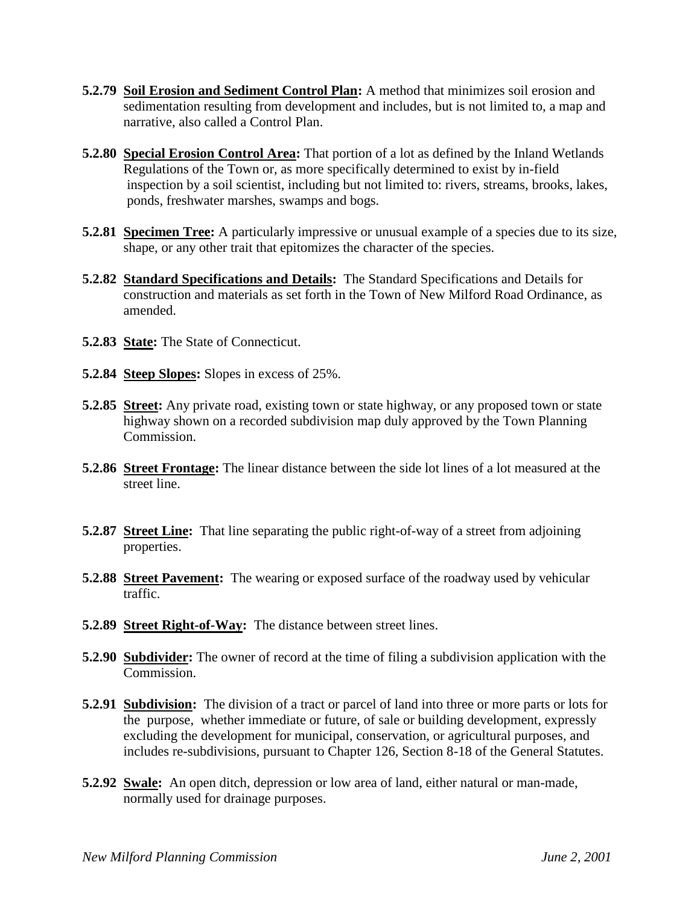- **5.2.79 Soil Erosion and Sediment Control Plan:** A method that minimizes soil erosion and sedimentation resulting from development and includes, but is not limited to, a map and narrative, also called a Control Plan.
- **5.2.80 Special Erosion Control Area:** That portion of a lot as defined by the Inland Wetlands Regulations of the Town or, as more specifically determined to exist by in-field inspection by a soil scientist, including but not limited to: rivers, streams, brooks, lakes, ponds, freshwater marshes, swamps and bogs.
- **5.2.81 Specimen Tree:** A particularly impressive or unusual example of a species due to its size, shape, or any other trait that epitomizes the character of the species.
- **5.2.82 Standard Specifications and Details:** The Standard Specifications and Details for construction and materials as set forth in the Town of New Milford Road Ordinance, as amended.
- **5.2.83 State:** The State of Connecticut.
- **5.2.84 Steep Slopes:** Slopes in excess of 25%.
- **5.2.85 Street:** Any private road, existing town or state highway, or any proposed town or state highway shown on a recorded subdivision map duly approved by the Town Planning Commission.
- **5.2.86 Street Frontage:** The linear distance between the side lot lines of a lot measured at the street line.
- **5.2.87 Street Line:** That line separating the public right-of-way of a street from adjoining properties.
- **5.2.88 Street Pavement:** The wearing or exposed surface of the roadway used by vehicular traffic.
- **5.2.89 Street Right-of-Way:** The distance between street lines.
- **5.2.90 Subdivider:** The owner of record at the time of filing a subdivision application with the Commission.
- **5.2.91 Subdivision:** The division of a tract or parcel of land into three or more parts or lots for the purpose, whether immediate or future, of sale or building development, expressly excluding the development for municipal, conservation, or agricultural purposes, and includes re-subdivisions, pursuant to Chapter 126, Section 8-18 of the General Statutes.
- **5.2.92 Swale:** An open ditch, depression or low area of land, either natural or man-made, normally used for drainage purposes.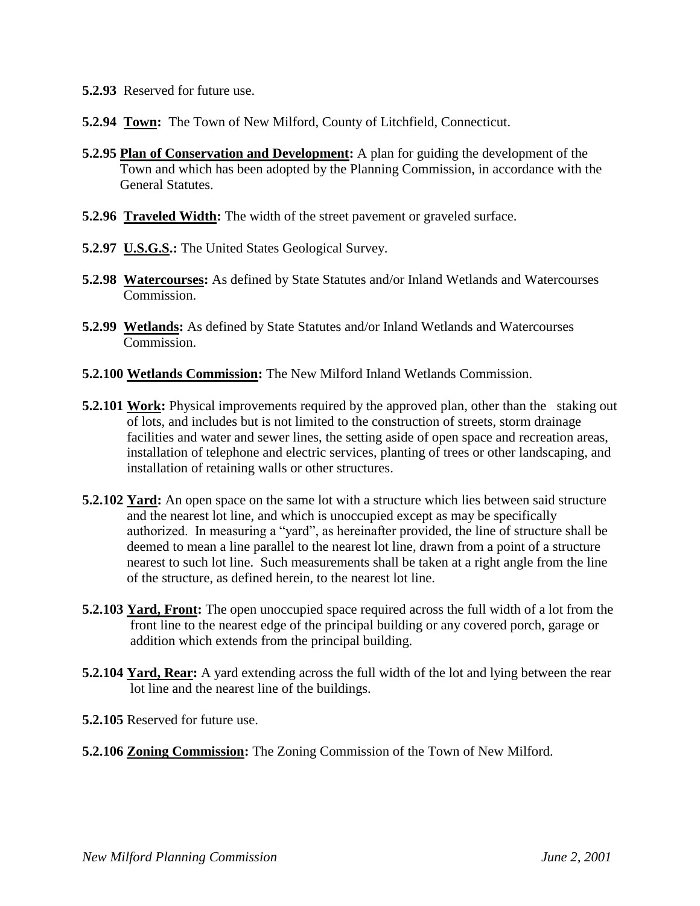- **5.2.93** Reserved for future use.
- **5.2.94 Town:** The Town of New Milford, County of Litchfield, Connecticut.
- **5.2.95 Plan of Conservation and Development:** A plan for guiding the development of the Town and which has been adopted by the Planning Commission, in accordance with the General Statutes.
- **5.2.96 Traveled Width:** The width of the street pavement or graveled surface.
- **5.2.97 U.S.G.S.:** The United States Geological Survey.
- **5.2.98 Watercourses:** As defined by State Statutes and/or Inland Wetlands and Watercourses Commission.
- **5.2.99 Wetlands:** As defined by State Statutes and/or Inland Wetlands and Watercourses Commission.
- **5.2.100 Wetlands Commission:** The New Milford Inland Wetlands Commission.
- **5.2.101 Work:** Physical improvements required by the approved plan, other than the staking out of lots, and includes but is not limited to the construction of streets, storm drainage facilities and water and sewer lines, the setting aside of open space and recreation areas, installation of telephone and electric services, planting of trees or other landscaping, and installation of retaining walls or other structures.
- **5.2.102 Yard:** An open space on the same lot with a structure which lies between said structure and the nearest lot line, and which is unoccupied except as may be specifically authorized. In measuring a "yard", as hereinafter provided, the line of structure shall be deemed to mean a line parallel to the nearest lot line, drawn from a point of a structure nearest to such lot line. Such measurements shall be taken at a right angle from the line of the structure, as defined herein, to the nearest lot line.
- **5.2.103 Yard, Front:** The open unoccupied space required across the full width of a lot from the front line to the nearest edge of the principal building or any covered porch, garage or addition which extends from the principal building.
- **5.2.104 Yard, Rear:** A yard extending across the full width of the lot and lying between the rear lot line and the nearest line of the buildings.
- **5.2.105** Reserved for future use.
- **5.2.106 Zoning Commission:** The Zoning Commission of the Town of New Milford.